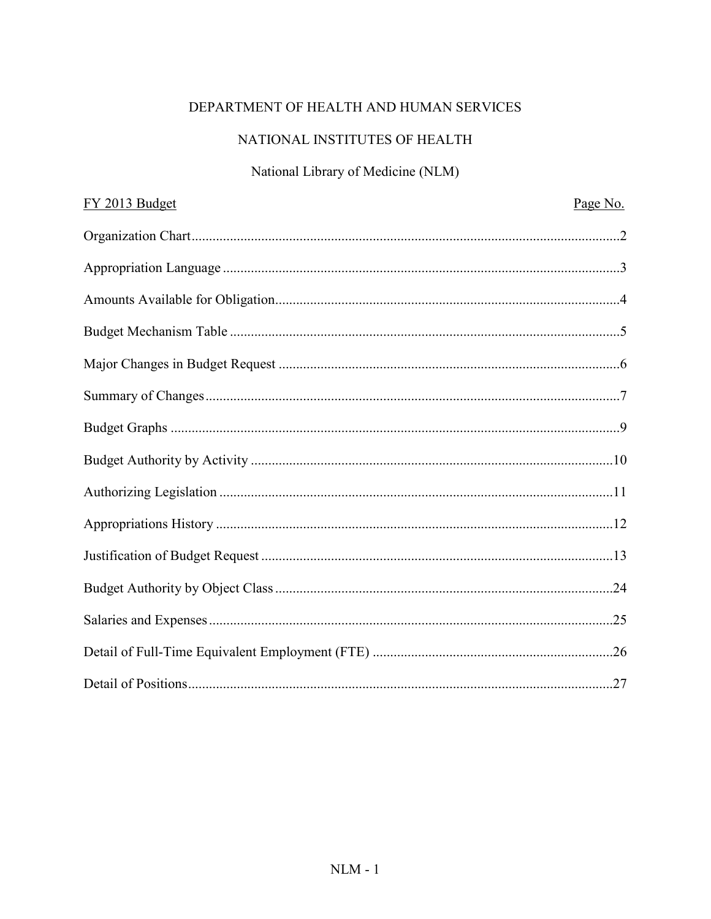# DEPARTMENT OF HEALTH AND HUMAN SERVICES

# NATIONAL INSTITUTES OF HEALTH

# National Library of Medicine (NLM)

| FY 2013 Budget | Page No. |
|----------------|----------|
|                |          |
|                |          |
|                |          |
|                |          |
|                |          |
|                |          |
|                |          |
|                |          |
|                |          |
|                |          |
|                |          |
|                |          |
|                |          |
|                |          |
|                |          |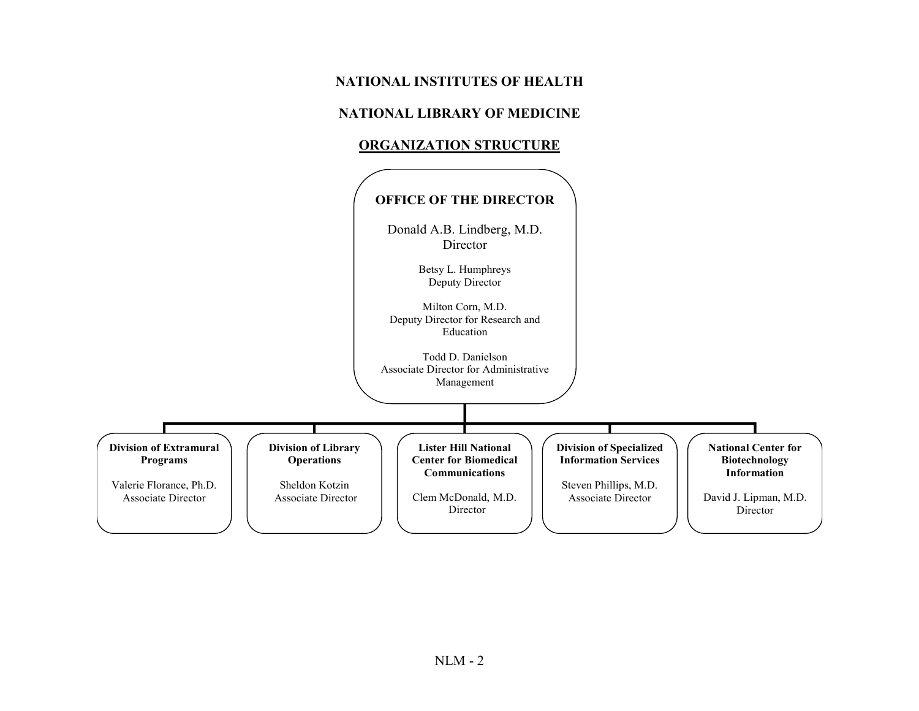# **NATIONAL INSTITUTES OF HEALTH**

#### **NATIONAL LIBRARY OF MEDICINE**

#### **ORGANIZATION STRUCTURE**

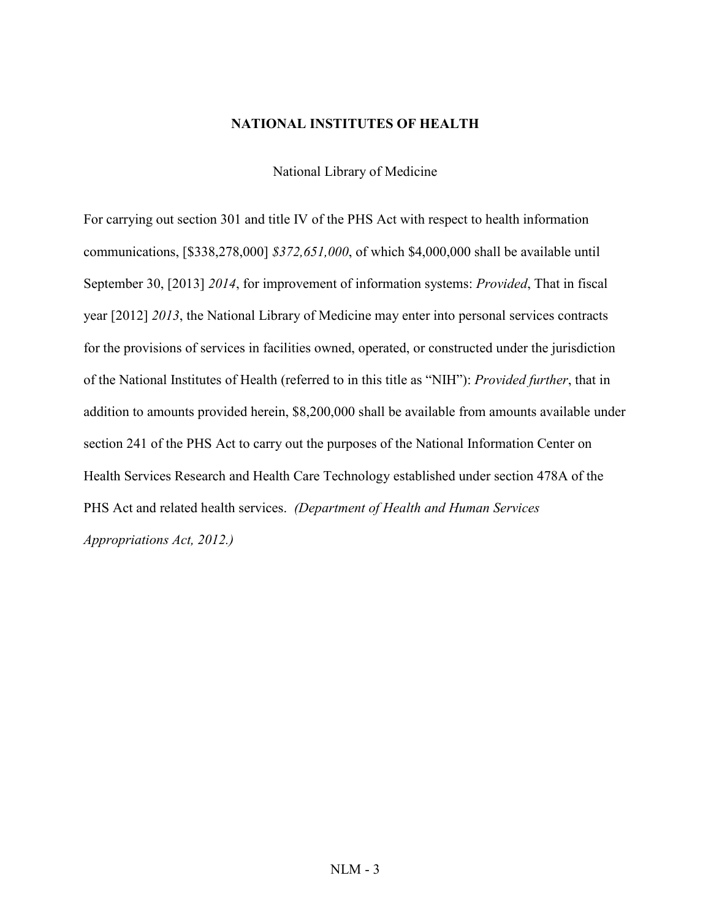#### **NATIONAL INSTITUTES OF HEALTH**

National Library of Medicine

For carrying out section 301 and title IV of the PHS Act with respect to health information communications, [\$338,278,000] *\$372,651,000*, of which \$4,000,000 shall be available until September 30, [2013] *2014*, for improvement of information systems: *Provided*, That in fiscal year [2012] *2013*, the National Library of Medicine may enter into personal services contracts for the provisions of services in facilities owned, operated, or constructed under the jurisdiction of the National Institutes of Health (referred to in this title as "NIH"): *Provided further*, that in addition to amounts provided herein, \$8,200,000 shall be available from amounts available under section 241 of the PHS Act to carry out the purposes of the National Information Center on Health Services Research and Health Care Technology established under section 478A of the PHS Act and related health services. *(Department of Health and Human Services Appropriations Act, 2012.)*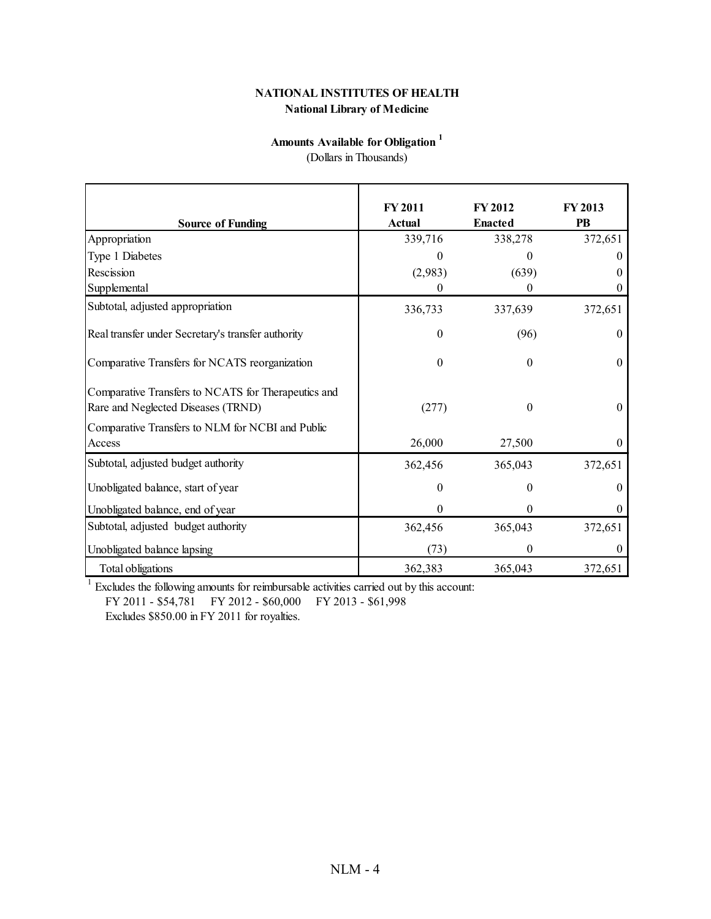#### **National Library of Medicine NATIONAL INSTITUTES OF HEALTH**

# **Amounts Available for Obligation <sup>1</sup>**

(Dollars in Thousands)

| <b>Source of Funding</b>                                                                  | <b>FY 2011</b><br>Actual | <b>FY 2012</b><br><b>Enacted</b> | <b>FY 2013</b><br>PB |
|-------------------------------------------------------------------------------------------|--------------------------|----------------------------------|----------------------|
| Appropriation                                                                             | 339,716                  | 338,278                          | 372,651              |
| Type 1 Diabetes                                                                           |                          |                                  |                      |
| Rescission                                                                                | (2,983)                  | (639)                            |                      |
| Supplemental                                                                              | 0                        | 0                                |                      |
| Subtotal, adjusted appropriation                                                          | 336,733                  | 337,639                          | 372,651              |
| Real transfer under Secretary's transfer authority                                        | 0                        | (96)                             | 0                    |
| Comparative Transfers for NCATS reorganization                                            | $\boldsymbol{0}$         | $\Omega$                         | 0                    |
| Comparative Transfers to NCATS for Therapeutics and<br>Rare and Neglected Diseases (TRND) | (277)                    | 0                                | $\theta$             |
| Comparative Transfers to NLM for NCBI and Public<br>Access                                | 26,000                   | 27,500                           | $\theta$             |
| Subtotal, adjusted budget authority                                                       | 362,456                  | 365,043                          | 372,651              |
| Unobligated balance, start of year                                                        | $\boldsymbol{0}$         | $\theta$                         | 0                    |
| Unobligated balance, end of year                                                          | $\boldsymbol{0}$         | $\theta$                         | 0                    |
| Subtotal, adjusted budget authority                                                       | 362,456                  | 365,043                          | 372,651              |
| Unobligated balance lapsing                                                               | (73)                     | 0                                |                      |
| Total obligations                                                                         | 362,383                  | 365,043                          | 372,651              |

 $1$  Excludes the following amounts for reimbursable activities carried out by this account:

FY 2011 - \$54,781 FY 2012 - \$60,000 FY 2013 - \$61,998

Excludes \$850.00 in FY 2011 for royalties.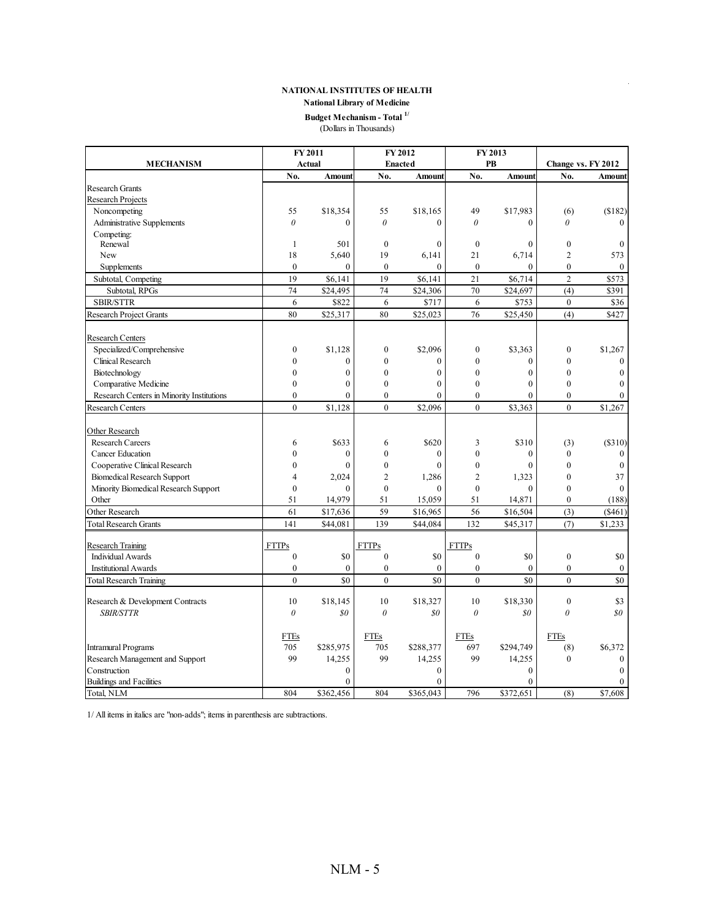# **NATIONAL INSTITUTES OF HEALTH NATIONAL INSTITUTES OF HEALTH BUDGET SOF HEALTH**<br> **Budget Mechanism - Total <sup>1/</sup><br>
<b>Budget Mechanism - Total <sup>1/</sup>**

**National Library of Medicine National Library of Medicine**

# **Budget Mechanism - Total**  $^{1/}$  (Dollars in Thousands)

|                                           |                  | FY 2011       |                  | FY 2012        | FY 2013          |               |                  |                    |
|-------------------------------------------|------------------|---------------|------------------|----------------|------------------|---------------|------------------|--------------------|
| <b>MECHANISM</b>                          |                  | Actual        |                  | <b>Enacted</b> |                  | PB            |                  | Change vs. FY 2012 |
|                                           | No.              | <b>Amount</b> | No.              | <b>Amount</b>  | No.              | <b>Amount</b> | No.              | Amount             |
| <b>Research Grants</b>                    |                  |               |                  |                |                  |               |                  |                    |
| <b>Research Projects</b>                  |                  |               |                  |                |                  |               |                  |                    |
| Noncompeting                              | 55               | \$18,354      | 55               | \$18,165       | 49               | \$17,983      | (6)              | (\$182)            |
| <b>Administrative Supplements</b>         | $\theta$         | $\theta$      | $\theta$         | $\theta$       | $\theta$         | $\theta$      | $\theta$         |                    |
| Competing:                                |                  |               |                  |                |                  |               |                  |                    |
| Renewal                                   | $\mathbf{1}$     | 501           | $\mathbf{0}$     | $\mathbf{0}$   | $\mathbf{0}$     | $\mathbf{0}$  | $\boldsymbol{0}$ | $\mathbf{0}$       |
| New                                       | 18               | 5,640         | 19               | 6.141          | 21               | 6,714         | $\overline{2}$   | 573                |
| Supplements                               | $\theta$         | $\theta$      | $\theta$         | $\theta$       | $\theta$         | $\theta$      | $\theta$         | $\theta$           |
| Subtotal, Competing                       | 19               | \$6,141       | 19               | \$6,141        | 21               | \$6,714       | $\overline{c}$   | \$573              |
| Subtotal, RPGs                            | 74               | \$24,495      | 74               | \$24,306       | 70               | \$24,697      | (4)              | \$391              |
| <b>SBIR/STTR</b>                          | 6                | \$822         | 6                | \$717          | 6                | \$753         | $\mathbf{0}$     | \$36               |
| <b>Research Project Grants</b>            | 80               | \$25,317      | 80               | \$25,023       | 76               | \$25,450      | (4)              | \$427              |
| <b>Research Centers</b>                   |                  |               |                  |                |                  |               |                  |                    |
| Specialized/Comprehensive                 | $\boldsymbol{0}$ | \$1,128       | $\boldsymbol{0}$ | \$2,096        | $\boldsymbol{0}$ | \$3,363       | $\boldsymbol{0}$ | \$1,267            |
| Clinical Research                         | $\mathbf{0}$     | $\mathbf{0}$  | $\mathbf{0}$     | $\mathbf{0}$   | $\mathbf{0}$     | $\mathbf{0}$  | $\mathbf{0}$     | $\theta$           |
| Biotechnology                             | $\mathbf{0}$     | $\mathbf{0}$  | $\mathbf{0}$     | $\mathbf{0}$   | $\mathbf{0}$     | $\mathbf{0}$  | $\mathbf{0}$     | $\theta$           |
| Comparative Medicine                      | $\theta$         | $\theta$      | $\theta$         | $\mathbf{0}$   | $\theta$         | $\theta$      | $\theta$         | 0                  |
| Research Centers in Minority Institutions | $\mathbf{0}$     | $\theta$      | $\mathbf{0}$     | $\theta$       | $\mathbf{0}$     | $\theta$      | $\mathbf{0}$     | $\theta$           |
| <b>Research Centers</b>                   | $\mathbf{0}$     | \$1,128       | $\mathbf{0}$     | \$2,096        | $\overline{0}$   | \$3,363       | $\mathbf{0}$     | \$1,267            |
| Other Research                            |                  |               |                  |                |                  |               |                  |                    |
| <b>Research Careers</b>                   | 6                | \$633         | 6                | \$620          | 3                | \$310         | (3)              | (\$310)            |
| <b>Cancer Education</b>                   | $\theta$         | $\theta$      | $\theta$         | $\theta$       | $\mathbf{0}$     | $\theta$      | $\mathbf{0}$     | $\Omega$           |
| Cooperative Clinical Research             | $\mathbf{0}$     | $\theta$      | $\mathbf{0}$     | $\theta$       | $\mathbf{0}$     | $\theta$      | $\mathbf{0}$     | $\mathbf{0}$       |
| <b>Biomedical Research Support</b>        | $\overline{4}$   | 2,024         | $\overline{2}$   | 1,286          | $\overline{c}$   | 1,323         | $\theta$         | 37                 |
| Minority Biomedical Research Support      | $\mathbf{0}$     | $\theta$      | $\mathbf{0}$     | $\theta$       | $\mathbf{0}$     | $\theta$      | $\mathbf{0}$     | $\theta$           |
| Other                                     | 51               | 14,979        | 51               | 15,059         | 51               | 14,871        | $\mathbf{0}$     | (188)              |
| Other Research                            | 61               | \$17,636      | 59               | \$16,965       | 56               | \$16,504      | (3)              | (\$461)            |
| <b>Total Research Grants</b>              | 141              | \$44,081      | 139              | \$44,084       | 132              | \$45,317      | (7)              | \$1,233            |
| <b>Research Training</b>                  | <b>FTTPs</b>     |               | <b>FTTPs</b>     |                | <b>FTTPs</b>     |               |                  |                    |
| <b>Individual Awards</b>                  | $\boldsymbol{0}$ | \$0           | $\boldsymbol{0}$ | \$0            | $\mathbf{0}$     | \$0           | $\boldsymbol{0}$ | \$0                |
| <b>Institutional Awards</b>               | $\mathbf{0}$     | $\theta$      | $\mathbf{0}$     | $\Omega$       | $\mathbf{0}$     | $\theta$      | $\mathbf{0}$     | $\theta$           |
| <b>Total Research Training</b>            | $\theta$         | \$0           | $\theta$         | \$0            | $\theta$         | \$0           | $\theta$         | \$0                |
| Research & Development Contracts          | 10               | \$18,145      | 10               | \$18,327       | 10               | \$18,330      | $\mathbf{0}$     | \$3                |
| <b>SBIR/STTR</b>                          | $\theta$         | \$0           | $\theta$         | \$0            | $\theta$         | \$0           | $\theta$         | $\mathfrak{g}_0$   |
|                                           |                  |               |                  |                |                  |               |                  |                    |
|                                           | <b>FTEs</b>      |               | <b>FTEs</b>      |                | <b>FTEs</b>      |               | <b>FTEs</b>      |                    |
| <b>Intramural Programs</b>                | 705              | \$285,975     | 705              | \$288,377      | 697              | \$294,749     | (8)              | \$6,372            |
| Research Management and Support           | 99               | 14,255        | 99               | 14,255         | 99               | 14,255        | $\mathbf{0}$     | $\mathbf{0}$       |
| Construction                              |                  | $\mathbf{0}$  |                  | $\mathbf{0}$   |                  | $\mathbf{0}$  |                  | $\boldsymbol{0}$   |
| <b>Buildings and Facilities</b>           |                  | $\theta$      |                  | $\theta$       |                  | $\theta$      |                  | 0                  |
| Total, NLM                                | 804              | \$362,456     | 804              | \$365,043      | 796              | \$372,651     | (8)              | $\sqrt{57,608}$    |

1/ All items in italics are "non-adds"; items in parenthesis are subtractions.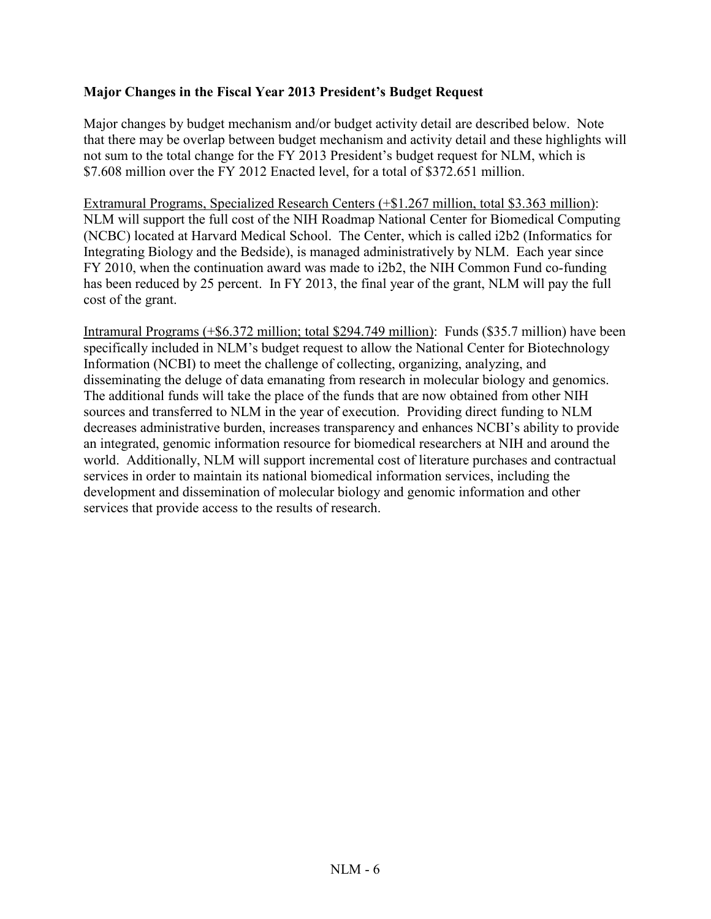## **Major Changes in the Fiscal Year 2013 President's Budget Request**

Major changes by budget mechanism and/or budget activity detail are described below. Note that there may be overlap between budget mechanism and activity detail and these highlights will not sum to the total change for the FY 2013 President's budget request for NLM, which is \$7.608 million over the FY 2012 Enacted level, for a total of \$372.651 million.

Extramural Programs, Specialized Research Centers (+\$1.267 million, total \$3.363 million): NLM will support the full cost of the NIH Roadmap National Center for Biomedical Computing (NCBC) located at Harvard Medical School. The Center, which is called i2b2 (Informatics for Integrating Biology and the Bedside), is managed administratively by NLM. Each year since FY 2010, when the continuation award was made to i2b2, the NIH Common Fund co-funding has been reduced by 25 percent. In FY 2013, the final year of the grant, NLM will pay the full cost of the grant.

Intramural Programs (+\$6.372 million; total \$294.749 million): Funds (\$35.7 million) have been specifically included in NLM's budget request to allow the National Center for Biotechnology Information (NCBI) to meet the challenge of collecting, organizing, analyzing, and disseminating the deluge of data emanating from research in molecular biology and genomics. The additional funds will take the place of the funds that are now obtained from other NIH sources and transferred to NLM in the year of execution. Providing direct funding to NLM decreases administrative burden, increases transparency and enhances NCBI's ability to provide an integrated, genomic information resource for biomedical researchers at NIH and around the world. Additionally, NLM will support incremental cost of literature purchases and contractual services in order to maintain its national biomedical information services, including the development and dissemination of molecular biology and genomic information and other services that provide access to the results of research.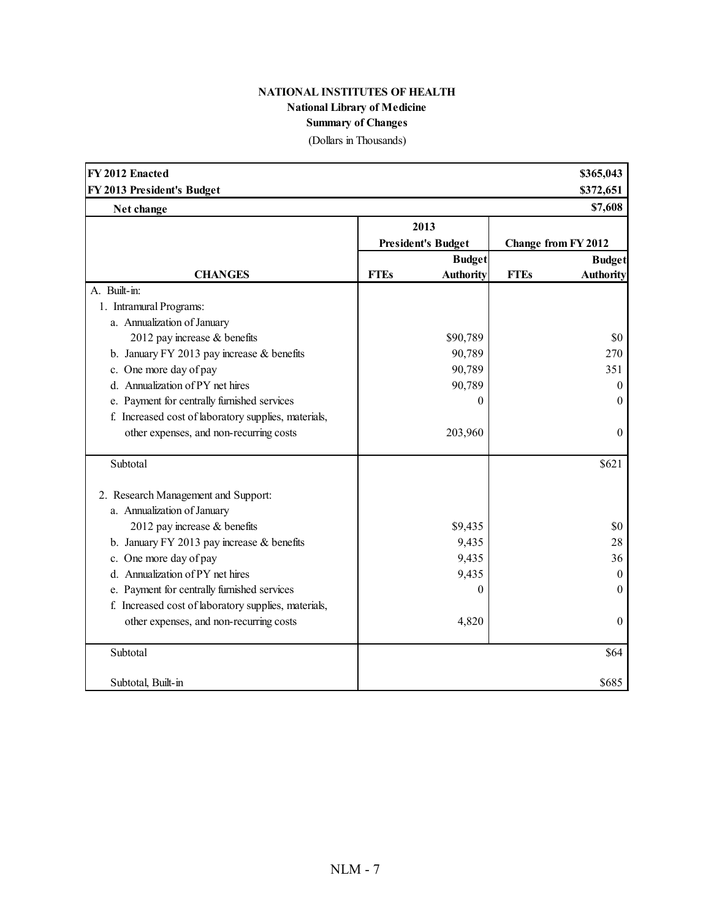# **NATIONAL INSTITUTES OF HEALTH National Library of Medicine Summary of Changes**

(Dollars in Thousands)

| FY 2012 Enacted                                      |             |                           |             | \$365,043           |
|------------------------------------------------------|-------------|---------------------------|-------------|---------------------|
| FY 2013 President's Budget                           |             |                           |             | \$372,651           |
| Net change                                           |             |                           |             | \$7,608             |
|                                                      |             | 2013                      |             |                     |
|                                                      |             | <b>President's Budget</b> |             | Change from FY 2012 |
|                                                      |             | <b>Budget</b>             |             | <b>Budget</b>       |
| <b>CHANGES</b>                                       | <b>FTEs</b> | <b>Authority</b>          | <b>FTEs</b> | <b>Authority</b>    |
| A. Built-in:                                         |             |                           |             |                     |
| 1. Intramural Programs:                              |             |                           |             |                     |
| a. Annualization of January                          |             |                           |             |                     |
| 2012 pay increase & benefits                         |             | \$90,789                  |             | \$0                 |
| b. January FY 2013 pay increase $&$ benefits         |             | 90,789                    |             | 270                 |
| c. One more day of pay                               |             | 90,789                    |             | 351                 |
| d. Annualization of PY net hires                     |             | 90,789                    |             | $\boldsymbol{0}$    |
| e. Payment for centrally furnished services          |             | $\overline{0}$            |             | 0                   |
| f. Increased cost of laboratory supplies, materials, |             |                           |             |                     |
| other expenses, and non-recurring costs              |             | 203,960                   |             | $\boldsymbol{0}$    |
| Subtotal                                             |             |                           |             | \$621               |
| 2. Research Management and Support:                  |             |                           |             |                     |
| a. Annualization of January                          |             |                           |             |                     |
| 2012 pay increase & benefits                         |             | \$9,435                   |             | \$0                 |
| b. January FY 2013 pay increase $&$ benefits         |             | 9,435                     |             | 28                  |
| c. One more day of pay                               |             | 9,435                     |             | 36                  |
| d. Annualization of PY net hires                     |             | 9,435                     |             | $\theta$            |
| e. Payment for centrally furnished services          |             | 0                         |             | $\theta$            |
| f. Increased cost of laboratory supplies, materials, |             |                           |             |                     |
| other expenses, and non-recurring costs              |             | 4,820                     |             | $\boldsymbol{0}$    |
| Subtotal                                             |             |                           |             | \$64                |
| Subtotal, Built-in                                   |             |                           |             | \$685               |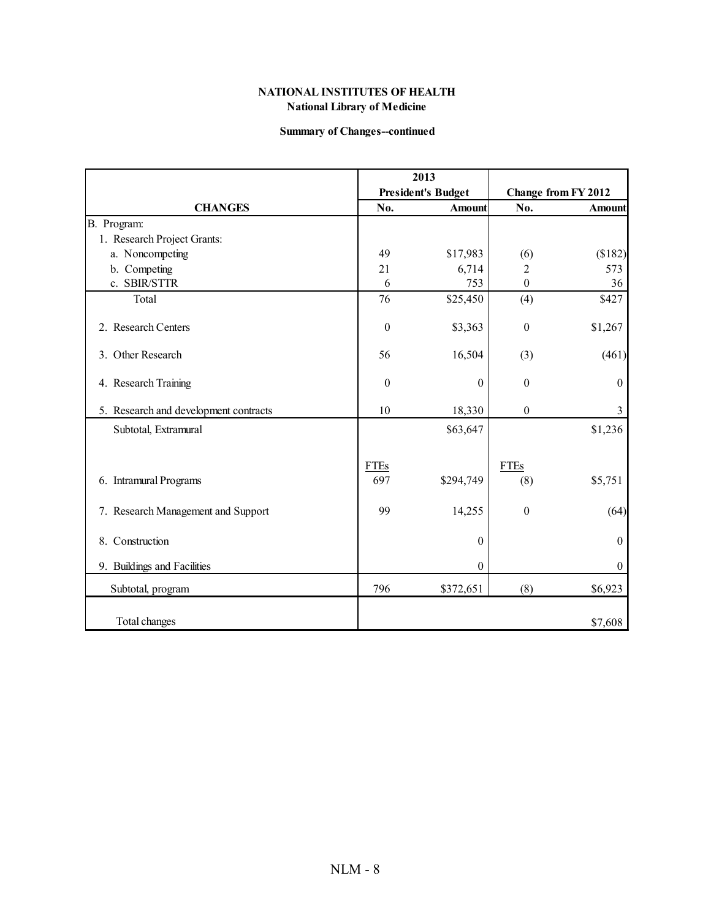#### **Summary of Changes--continued**

|                                       | 2013               |                           |                    |                     |
|---------------------------------------|--------------------|---------------------------|--------------------|---------------------|
|                                       |                    | <b>President's Budget</b> |                    | Change from FY 2012 |
| <b>CHANGES</b>                        | No.                | <b>Amount</b>             | No.                | <b>Amount</b>       |
| B. Program:                           |                    |                           |                    |                     |
| 1. Research Project Grants:           |                    |                           |                    |                     |
| a. Noncompeting                       | 49                 | \$17,983                  | (6)                | (\$182)             |
| b. Competing                          | 21                 | 6,714                     | 2                  | 573                 |
| c. SBIR/STTR                          | 6                  | 753                       | $\boldsymbol{0}$   | 36                  |
| Total                                 | 76                 | \$25,450                  | (4)                | \$427               |
| 2. Research Centers                   | $\boldsymbol{0}$   | \$3,363                   | $\boldsymbol{0}$   | \$1,267             |
| 3. Other Research                     | 56                 | 16,504                    | (3)                | (461)               |
| 4. Research Training                  | $\boldsymbol{0}$   | $\boldsymbol{0}$          | $\theta$           | $\boldsymbol{0}$    |
| 5. Research and development contracts | 10                 | 18,330                    | $\boldsymbol{0}$   | $\mathfrak{Z}$      |
| Subtotal, Extramural                  |                    | \$63,647                  |                    | \$1,236             |
| 6. Intramural Programs                | <b>FTEs</b><br>697 | \$294,749                 | <b>FTEs</b><br>(8) | \$5,751             |
| 7. Research Management and Support    | 99                 | 14,255                    | $\boldsymbol{0}$   | (64)                |
| 8. Construction                       |                    | $\boldsymbol{0}$          |                    | $\boldsymbol{0}$    |
| 9. Buildings and Facilities           |                    | $\boldsymbol{0}$          |                    | $\boldsymbol{0}$    |
| Subtotal, program                     | 796                | \$372,651                 | (8)                | \$6,923             |
| Total changes                         |                    |                           |                    | \$7,608             |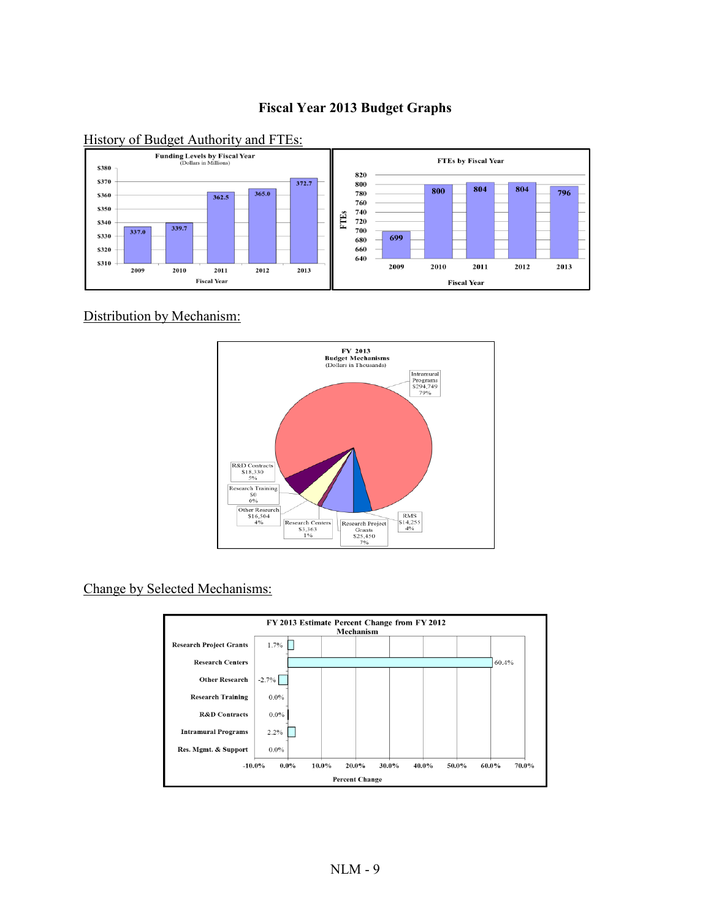# **Fiscal Year 2013 Budget Graphs**



#### History of Budget Authority and FTEs:

Distribution by Mechanism:



Change by Selected Mechanisms:

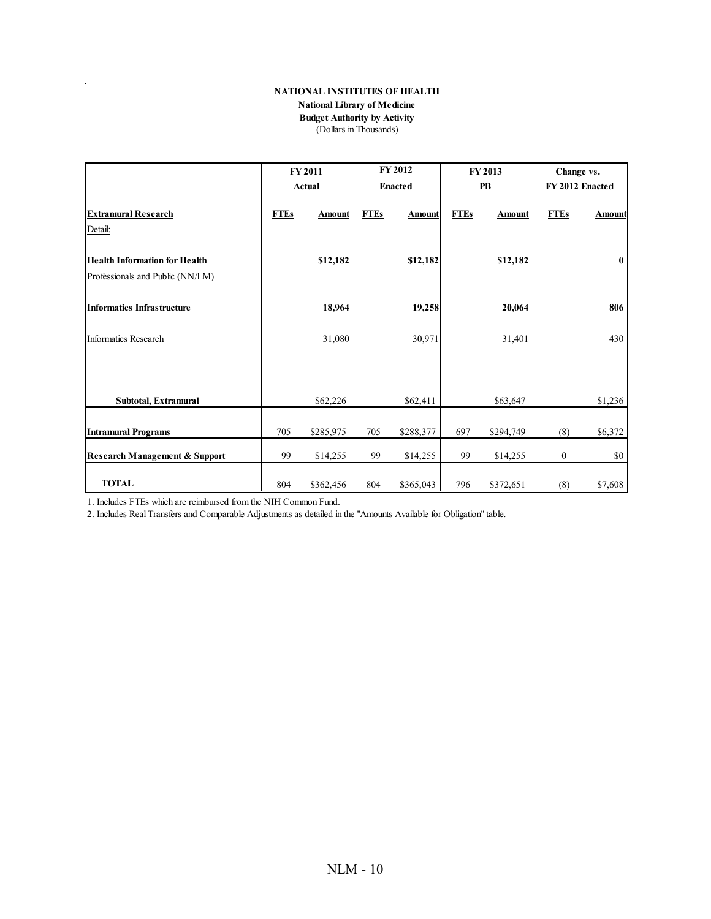#### **NATIONAL INSTITUTES OF HEALTH**

#### **National Library of Medicine**

#### **Budget Authority by Activity** (Dollars in Thousands)

|                                                                          | <b>FY 2011</b> |               | FY 2012        |               | <b>FY 2013</b> |               | Change vs.       |               |
|--------------------------------------------------------------------------|----------------|---------------|----------------|---------------|----------------|---------------|------------------|---------------|
|                                                                          |                | <b>Actual</b> | <b>Enacted</b> |               |                | PB            | FY 2012 Enacted  |               |
| <b>Extramural Research</b><br>Detail:                                    | <b>FTEs</b>    | <b>Amount</b> | <b>FTEs</b>    | <b>Amount</b> | <b>FTEs</b>    | <b>Amount</b> | <b>FTEs</b>      | <b>Amount</b> |
| <b>Health Information for Health</b><br>Professionals and Public (NN/LM) |                | \$12,182      |                | \$12,182      |                | \$12,182      |                  | $\mathbf{0}$  |
| <b>Informatics Infrastructure</b>                                        |                | 18,964        |                | 19,258        |                | 20,064        |                  | 806           |
| Informatics Research                                                     |                | 31,080        |                | 30,971        |                | 31,401        |                  | 430           |
|                                                                          |                |               |                |               |                |               |                  |               |
| Subtotal, Extramural                                                     |                | \$62,226      |                | \$62,411      |                | \$63,647      |                  | \$1,236       |
| <b>Intramural Programs</b>                                               | 705            | \$285,975     | 705            | \$288,377     | 697            | \$294,749     | (8)              | \$6,372       |
| <b>Research Management &amp; Support</b>                                 | 99             | \$14,255      | 99             | \$14,255      | 99             | \$14,255      | $\boldsymbol{0}$ | \$0           |
| <b>TOTAL</b>                                                             | 804            | \$362,456     | 804            | \$365,043     | 796            | \$372,651     | (8)              | \$7,608       |

1. Includes FTEs which are reimbursed from the NIH Common Fund.

 $\hat{\mathcal{L}}$ 

2. Includes Real Transfers and Comparable Adjustments as detailed in the "Amounts Available for Obligation" table.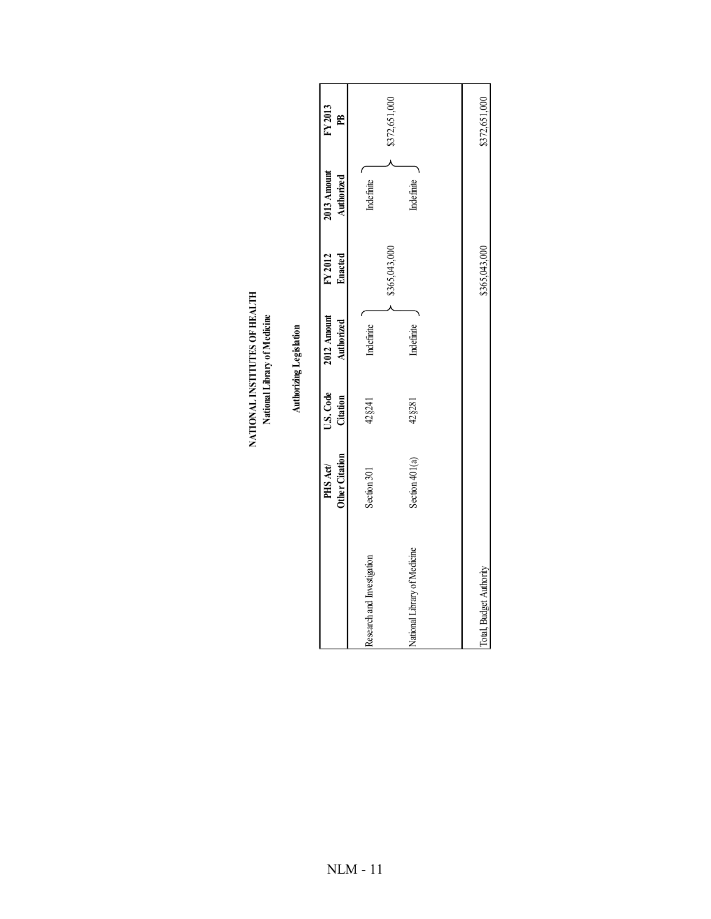| FY2013        | E                  |                            | \$372,651,000                | \$372,651,000           |
|---------------|--------------------|----------------------------|------------------------------|-------------------------|
| $2013$ Amount | Authorized         | Indefinite                 | Indefinite                   |                         |
|               | FY 2012<br>Enacted |                            | \$365,043,000                | \$365,043,000           |
| $2012$ Amount | Authorized         | Indefinite                 | Indefinite                   |                         |
| U.S. Code     | Citation           | 42§241                     | 42§281                       |                         |
| PHS Act/      | Other Citation     | Section 301                | Section 401(a)               |                         |
|               |                    | Research and Investigation | National Library of Medicine | Total, Budget Authority |

NATIONAL INSTITUTES OF HEALTH<br>National Library of Medicine **NATIONAL INSTITUTES OF HEALTH National Library of Medicine**

Authorizing Legislation **Authorizing Legislation**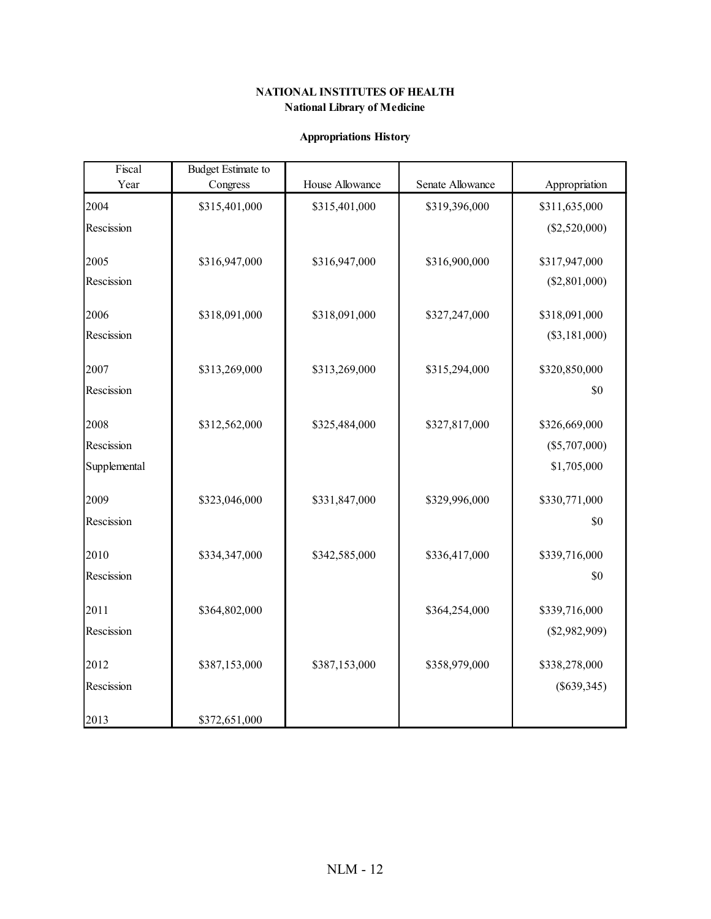# **Appropriations History**

| Fiscal       | <b>Budget Estimate to</b> |                 |                  |                 |
|--------------|---------------------------|-----------------|------------------|-----------------|
| Year         | Congress                  | House Allowance | Senate Allowance | Appropriation   |
| 2004         | \$315,401,000             | \$315,401,000   | \$319,396,000    | \$311,635,000   |
| Rescission   |                           |                 |                  | $(\$2,520,000)$ |
|              |                           |                 |                  |                 |
| 2005         | \$316,947,000             | \$316,947,000   | \$316,900,000    | \$317,947,000   |
| Rescission   |                           |                 |                  | $(\$2,801,000)$ |
| 2006         | \$318,091,000             | \$318,091,000   | \$327,247,000    | \$318,091,000   |
|              |                           |                 |                  |                 |
| Rescission   |                           |                 |                  | $(\$3,181,000)$ |
| 2007         | \$313,269,000             | \$313,269,000   | \$315,294,000    | \$320,850,000   |
| Rescission   |                           |                 |                  | \$0             |
|              |                           |                 |                  |                 |
| 2008         | \$312,562,000             | \$325,484,000   | \$327,817,000    | \$326,669,000   |
| Rescission   |                           |                 |                  | $(\$5,707,000)$ |
| Supplemental |                           |                 |                  | \$1,705,000     |
|              |                           |                 |                  |                 |
| 2009         | \$323,046,000             | \$331,847,000   | \$329,996,000    | \$330,771,000   |
| Rescission   |                           |                 |                  | \$0             |
| 2010         |                           |                 |                  | \$339,716,000   |
|              | \$334,347,000             | \$342,585,000   | \$336,417,000    |                 |
| Rescission   |                           |                 |                  | \$0             |
| 2011         | \$364,802,000             |                 | \$364,254,000    | \$339,716,000   |
| Rescission   |                           |                 |                  | $(\$2,982,909)$ |
|              |                           |                 |                  |                 |
| 2012         | \$387,153,000             | \$387,153,000   | \$358,979,000    | \$338,278,000   |
| Rescission   |                           |                 |                  | $(\$639,345)$   |
|              |                           |                 |                  |                 |
| 2013         | \$372,651,000             |                 |                  |                 |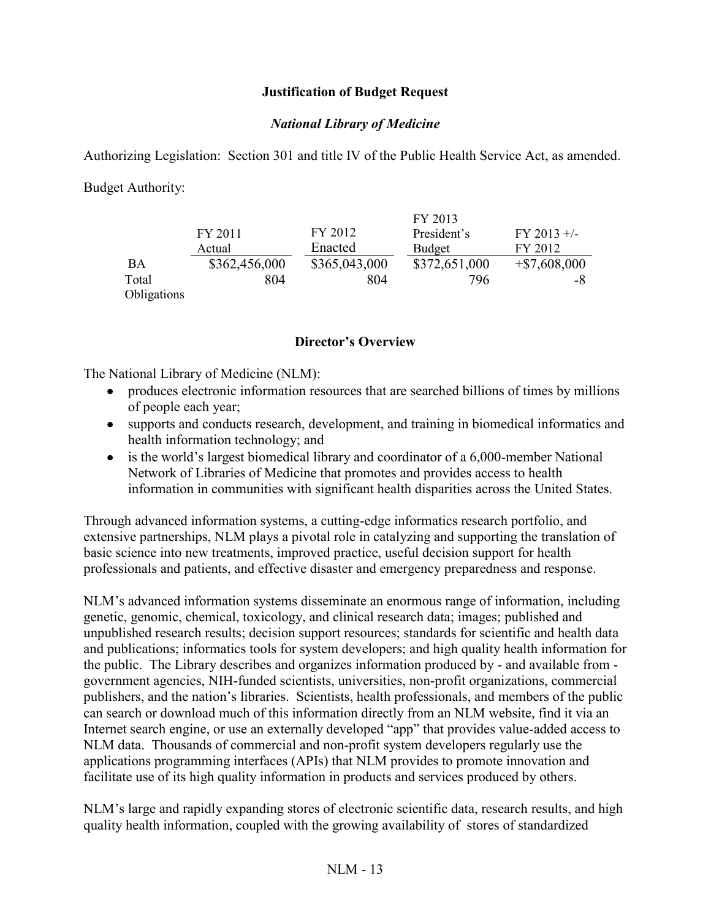## **Justification of Budget Request**

### *National Library of Medicine*

Authorizing Legislation: Section 301 and title IV of the Public Health Service Act, as amended.

Budget Authority:

|             |               |               | FY 2013       |                 |
|-------------|---------------|---------------|---------------|-----------------|
|             | FY 2011       | FY 2012       | President's   | $FY$ 2013 +/-   |
|             | Actual        | Enacted       | <b>Budget</b> | FY 2012         |
| BA          | \$362,456,000 | \$365,043,000 | \$372,651,000 | $+$ \$7,608,000 |
| Total       | 804           | 804           | 796           | -8              |
| Obligations |               |               |               |                 |

#### **Director's Overview**

The National Library of Medicine (NLM):

- produces electronic information resources that are searched billions of times by millions of people each year;
- supports and conducts research, development, and training in biomedical informatics and health information technology; and
- is the world's largest biomedical library and coordinator of a 6,000-member National Network of Libraries of Medicine that promotes and provides access to health information in communities with significant health disparities across the United States.

Through advanced information systems, a cutting-edge informatics research portfolio, and extensive partnerships, NLM plays a pivotal role in catalyzing and supporting the translation of basic science into new treatments, improved practice, useful decision support for health professionals and patients, and effective disaster and emergency preparedness and response.

NLM's advanced information systems disseminate an enormous range of information, including genetic, genomic, chemical, toxicology, and clinical research data; images; published and unpublished research results; decision support resources; standards for scientific and health data and publications; informatics tools for system developers; and high quality health information for the public. The Library describes and organizes information produced by - and available from government agencies, NIH-funded scientists, universities, non-profit organizations, commercial publishers, and the nation's libraries. Scientists, health professionals, and members of the public can search or download much of this information directly from an NLM website, find it via an Internet search engine, or use an externally developed "app" that provides value-added access to NLM data. Thousands of commercial and non-profit system developers regularly use the applications programming interfaces (APIs) that NLM provides to promote innovation and facilitate use of its high quality information in products and services produced by others.

NLM's large and rapidly expanding stores of electronic scientific data, research results, and high quality health information, coupled with the growing availability of stores of standardized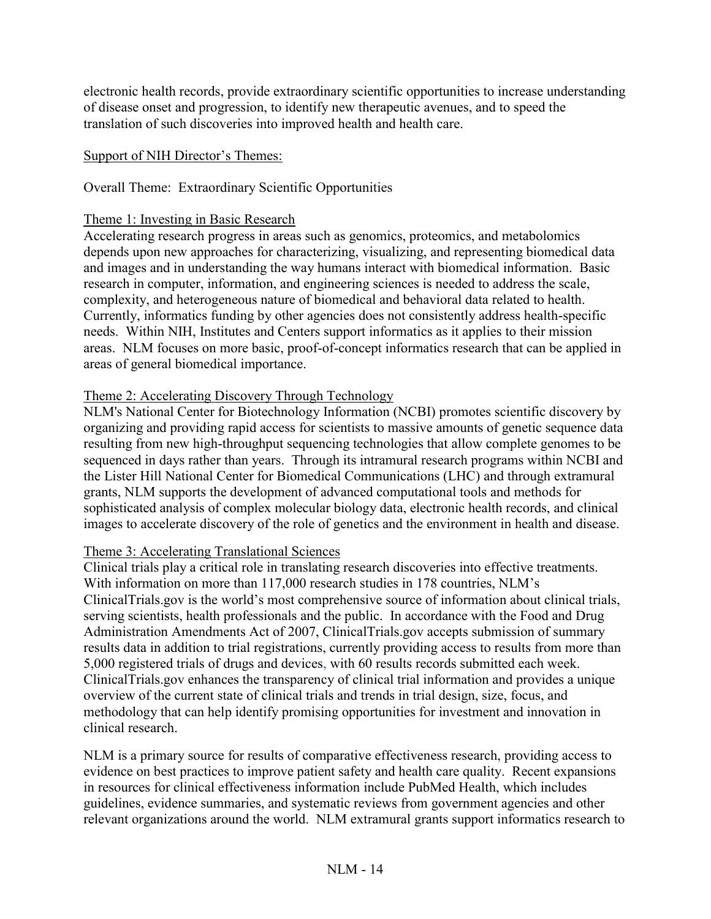electronic health records, provide extraordinary scientific opportunities to increase understanding of disease onset and progression, to identify new therapeutic avenues, and to speed the translation of such discoveries into improved health and health care.

### Support of NIH Director's Themes:

### Overall Theme: Extraordinary Scientific Opportunities

#### Theme 1: Investing in Basic Research

Accelerating research progress in areas such as genomics, proteomics, and metabolomics depends upon new approaches for characterizing, visualizing, and representing biomedical data and images and in understanding the way humans interact with biomedical information. Basic research in computer, information, and engineering sciences is needed to address the scale, complexity, and heterogeneous nature of biomedical and behavioral data related to health. Currently, informatics funding by other agencies does not consistently address health-specific needs. Within NIH, Institutes and Centers support informatics as it applies to their mission areas. NLM focuses on more basic, proof-of-concept informatics research that can be applied in areas of general biomedical importance.

## Theme 2: Accelerating Discovery Through Technology

NLM's National Center for Biotechnology Information (NCBI) promotes scientific discovery by organizing and providing rapid access for scientists to massive amounts of genetic sequence data resulting from new high-throughput sequencing technologies that allow complete genomes to be sequenced in days rather than years. Through its intramural research programs within NCBI and the Lister Hill National Center for Biomedical Communications (LHC) and through extramural grants, NLM supports the development of advanced computational tools and methods for sophisticated analysis of complex molecular biology data, electronic health records, and clinical images to accelerate discovery of the role of genetics and the environment in health and disease.

#### Theme 3: Accelerating Translational Sciences

Clinical trials play a critical role in translating research discoveries into effective treatments. With information on more than 117,000 research studies in 178 countries, NLM's ClinicalTrials.gov is the world's most comprehensive source of information about clinical trials, serving scientists, health professionals and the public. In accordance with the Food and Drug Administration Amendments Act of 2007, ClinicalTrials.gov accepts submission of summary results data in addition to trial registrations, currently providing access to results from more than 5,000 registered trials of drugs and devices, with 60 results records submitted each week. ClinicalTrials.gov enhances the transparency of clinical trial information and provides a unique overview of the current state of clinical trials and trends in trial design, size, focus, and methodology that can help identify promising opportunities for investment and innovation in clinical research.

NLM is a primary source for results of comparative effectiveness research, providing access to evidence on best practices to improve patient safety and health care quality. Recent expansions in resources for clinical effectiveness information include PubMed Health, which includes guidelines, evidence summaries, and systematic reviews from government agencies and other relevant organizations around the world. NLM extramural grants support informatics research to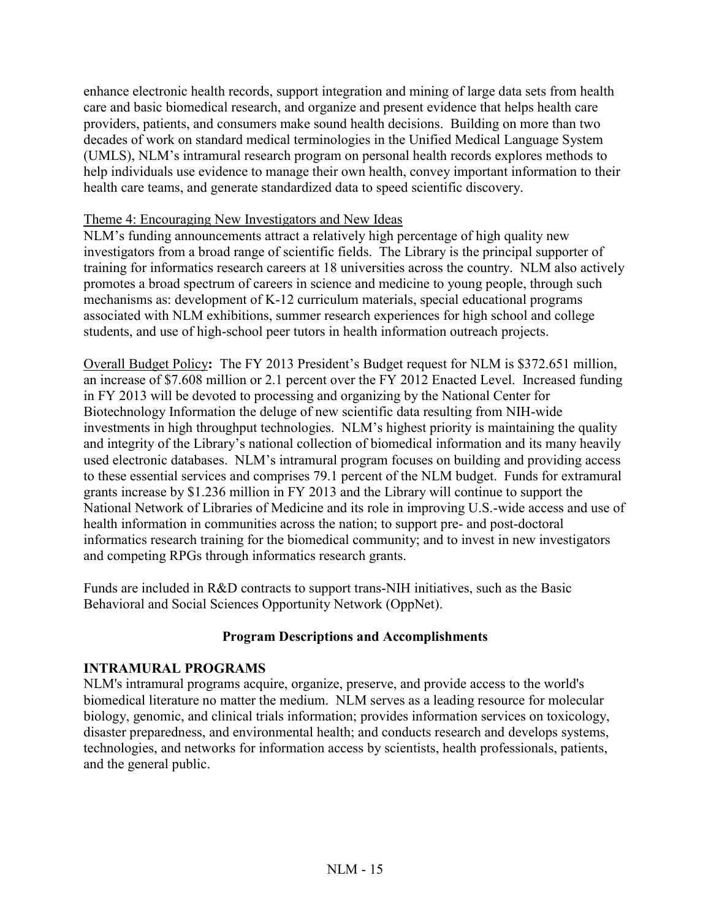enhance electronic health records, support integration and mining of large data sets from health care and basic biomedical research, and organize and present evidence that helps health care providers, patients, and consumers make sound health decisions. Building on more than two decades of work on standard medical terminologies in the Unified Medical Language System (UMLS), NLM's intramural research program on personal health records explores methods to help individuals use evidence to manage their own health, convey important information to their health care teams, and generate standardized data to speed scientific discovery.

#### Theme 4: Encouraging New Investigators and New Ideas

NLM's funding announcements attract a relatively high percentage of high quality new investigators from a broad range of scientific fields. The Library is the principal supporter of training for informatics research careers at 18 universities across the country. NLM also actively promotes a broad spectrum of careers in science and medicine to young people, through such mechanisms as: development of K-12 curriculum materials, special educational programs associated with NLM exhibitions, summer research experiences for high school and college students, and use of high-school peer tutors in health information outreach projects.

Overall Budget Policy**:** The FY 2013 President's Budget request for NLM is \$372.651 million, an increase of \$7.608 million or 2.1 percent over the FY 2012 Enacted Level. Increased funding in FY 2013 will be devoted to processing and organizing by the National Center for Biotechnology Information the deluge of new scientific data resulting from NIH-wide investments in high throughput technologies. NLM's highest priority is maintaining the quality and integrity of the Library's national collection of biomedical information and its many heavily used electronic databases. NLM's intramural program focuses on building and providing access to these essential services and comprises 79.1 percent of the NLM budget. Funds for extramural grants increase by \$1.236 million in FY 2013 and the Library will continue to support the National Network of Libraries of Medicine and its role in improving U.S.-wide access and use of health information in communities across the nation; to support pre- and post-doctoral informatics research training for the biomedical community; and to invest in new investigators and competing RPGs through informatics research grants.

Funds are included in R&D contracts to support trans-NIH initiatives, such as the Basic Behavioral and Social Sciences Opportunity Network (OppNet).

## **Program Descriptions and Accomplishments**

## **INTRAMURAL PROGRAMS**

NLM's intramural programs acquire, organize, preserve, and provide access to the world's biomedical literature no matter the medium. NLM serves as a leading resource for molecular biology, genomic, and clinical trials information; provides information services on toxicology, disaster preparedness, and environmental health; and conducts research and develops systems, technologies, and networks for information access by scientists, health professionals, patients, and the general public.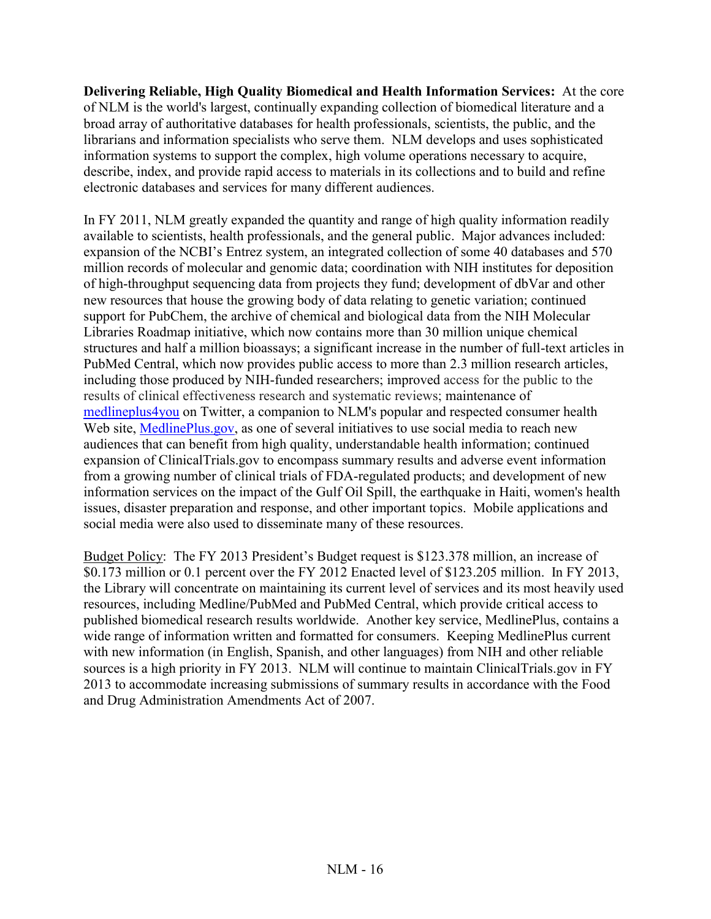**Delivering Reliable, High Quality Biomedical and Health Information Services:** At the core of NLM is the world's largest, continually expanding collection of biomedical literature and a broad array of authoritative databases for health professionals, scientists, the public, and the librarians and information specialists who serve them. NLM develops and uses sophisticated information systems to support the complex, high volume operations necessary to acquire, describe, index, and provide rapid access to materials in its collections and to build and refine electronic databases and services for many different audiences.

In FY 2011, NLM greatly expanded the quantity and range of high quality information readily available to scientists, health professionals, and the general public. Major advances included: expansion of the NCBI's Entrez system, an integrated collection of some 40 databases and 570 million records of molecular and genomic data; coordination with NIH institutes for deposition of high-throughput sequencing data from projects they fund; development of dbVar and other new resources that house the growing body of data relating to genetic variation; continued support for PubChem, the archive of chemical and biological data from the NIH Molecular Libraries Roadmap initiative, which now contains more than 30 million unique chemical structures and half a million bioassays; a significant increase in the number of full-text articles in PubMed Central, which now provides public access to more than 2.3 million research articles, including those produced by NIH-funded researchers; improved access for the public to the results of clinical effectiveness research and systematic reviews; maintenance of [medlineplus4you](http://twitter.com/medlineplus4you) on Twitter, a companion to NLM's popular and respected consumer health Web site, [MedlinePlus.gov,](http://www.medlineplus.gov/) as one of several initiatives to use social media to reach new audiences that can benefit from high quality, understandable health information; continued expansion of ClinicalTrials.gov to encompass summary results and adverse event information from a growing number of clinical trials of FDA-regulated products; and development of new information services on the impact of the Gulf Oil Spill, the earthquake in Haiti, women's health issues, disaster preparation and response, and other important topics. Mobile applications and social media were also used to disseminate many of these resources.

Budget Policy: The FY 2013 President's Budget request is \$123.378 million, an increase of \$0.173 million or 0.1 percent over the FY 2012 Enacted level of \$123.205 million. In FY 2013, the Library will concentrate on maintaining its current level of services and its most heavily used resources, including Medline/PubMed and PubMed Central, which provide critical access to published biomedical research results worldwide. Another key service, MedlinePlus, contains a wide range of information written and formatted for consumers. Keeping MedlinePlus current with new information (in English, Spanish, and other languages) from NIH and other reliable sources is a high priority in FY 2013. NLM will continue to maintain ClinicalTrials.gov in FY 2013 to accommodate increasing submissions of summary results in accordance with the Food and Drug Administration Amendments Act of 2007.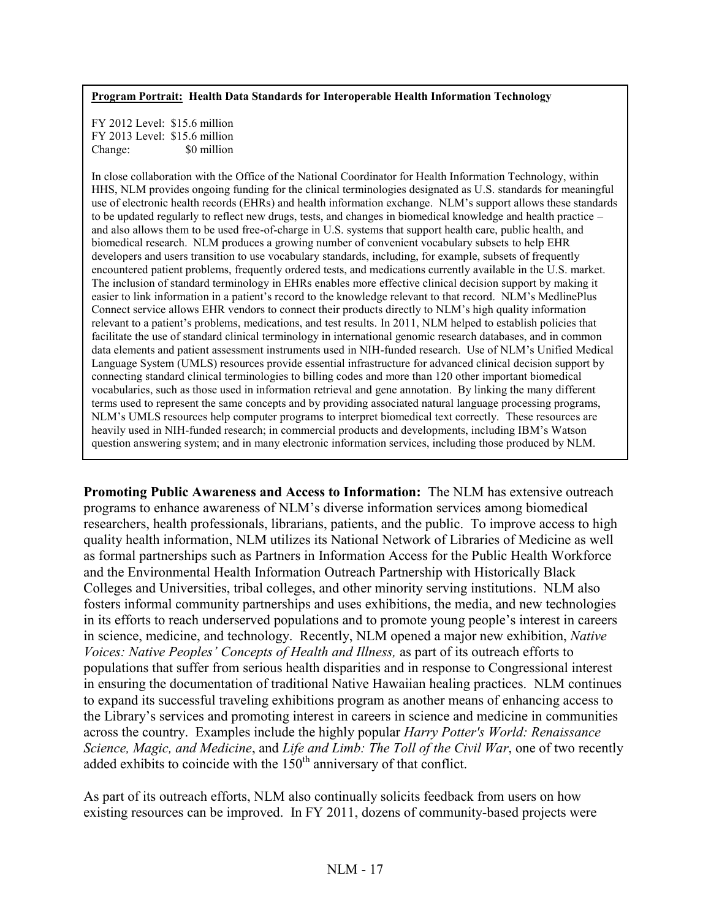#### **Program Portrait: Health Data Standards for Interoperable Health Information Technology**

FY 2012 Level: \$15.6 million FY 2013 Level: \$15.6 million Change:  $\frac{1}{20}$  S0 million

In close collaboration with the Office of the National Coordinator for Health Information Technology, within HHS, NLM provides ongoing funding for the clinical terminologies designated as U.S. standards for meaningful use of electronic health records (EHRs) and health information exchange. NLM's support allows these standards to be updated regularly to reflect new drugs, tests, and changes in biomedical knowledge and health practice – and also allows them to be used free-of-charge in U.S. systems that support health care, public health, and biomedical research. NLM produces a growing number of convenient vocabulary subsets to help EHR developers and users transition to use vocabulary standards, including, for example, subsets of frequently encountered patient problems, frequently ordered tests, and medications currently available in the U.S. market. The inclusion of standard terminology in EHRs enables more effective clinical decision support by making it easier to link information in a patient's record to the knowledge relevant to that record. NLM's MedlinePlus Connect service allows EHR vendors to connect their products directly to NLM's high quality information relevant to a patient's problems, medications, and test results. In 2011, NLM helped to establish policies that facilitate the use of standard clinical terminology in international genomic research databases, and in common data elements and patient assessment instruments used in NIH-funded research. Use of NLM's Unified Medical Language System (UMLS) resources provide essential infrastructure for advanced clinical decision support by connecting standard clinical terminologies to billing codes and more than 120 other important biomedical vocabularies, such as those used in information retrieval and gene annotation. By linking the many different terms used to represent the same concepts and by providing associated natural language processing programs, NLM's UMLS resources help computer programs to interpret biomedical text correctly. These resources are heavily used in NIH-funded research; in commercial products and developments, including IBM's Watson question answering system; and in many electronic information services, including those produced by NLM.

**Promoting Public Awareness and Access to Information:** The NLM has extensive outreach programs to enhance awareness of NLM's diverse information services among biomedical researchers, health professionals, librarians, patients, and the public. To improve access to high quality health information, NLM utilizes its National Network of Libraries of Medicine as well as formal partnerships such as Partners in Information Access for the Public Health Workforce and the Environmental Health Information Outreach Partnership with Historically Black Colleges and Universities, tribal colleges, and other minority serving institutions. NLM also fosters informal community partnerships and uses exhibitions, the media, and new technologies in its efforts to reach underserved populations and to promote young people's interest in careers in science, medicine, and technology. Recently, NLM opened a major new exhibition, *Native Voices: Native Peoples' Concepts of Health and Illness,* as part of its outreach efforts to populations that suffer from serious health disparities and in response to Congressional interest in ensuring the documentation of traditional Native Hawaiian healing practices. NLM continues to expand its successful traveling exhibitions program as another means of enhancing access to the Library's services and promoting interest in careers in science and medicine in communities across the country. Examples include the highly popular *Harry Potter's World: Renaissance Science, Magic, and Medicine*, and *Life and Limb: The Toll of the Civil War*, one of two recently added exhibits to coincide with the  $150<sup>th</sup>$  anniversary of that conflict.

As part of its outreach efforts, NLM also continually solicits feedback from users on how existing resources can be improved. In FY 2011, dozens of community-based projects were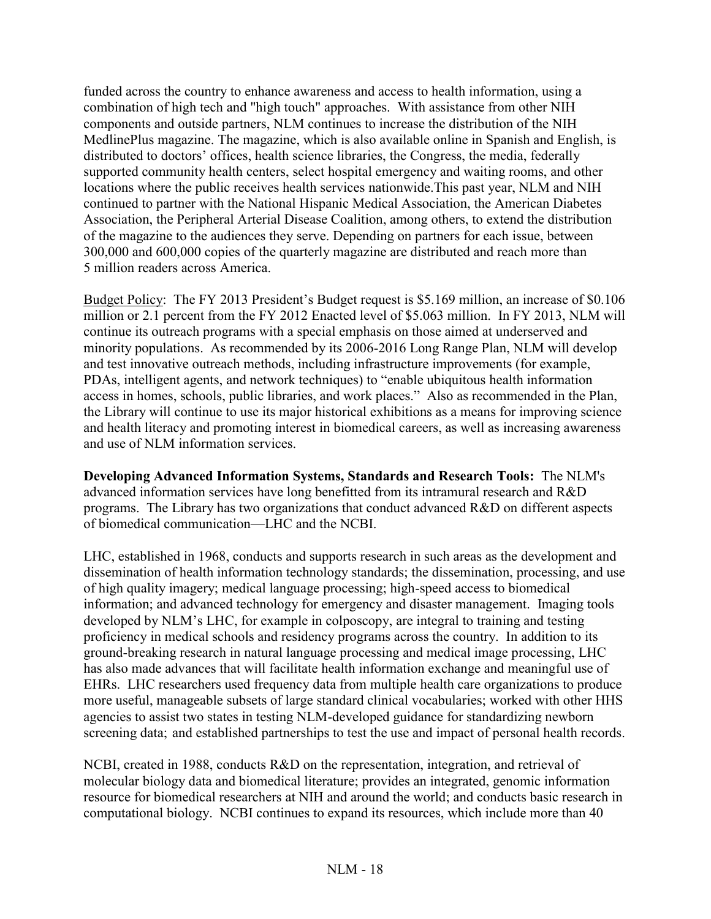funded across the country to enhance awareness and access to health information, using a combination of high tech and "high touch" approaches. With assistance from other NIH components and outside partners, NLM continues to increase the distribution of the NIH MedlinePlus magazine. The magazine, which is also available online in Spanish and English, is distributed to doctors' offices, health science libraries, the Congress, the media, federally supported community health centers, select hospital emergency and waiting rooms, and other locations where the public receives health services nationwide.This past year, NLM and NIH continued to partner with the National Hispanic Medical Association, the American Diabetes Association, the Peripheral Arterial Disease Coalition, among others, to extend the distribution of the magazine to the audiences they serve. Depending on partners for each issue, between 300,000 and 600,000 copies of the quarterly magazine are distributed and reach more than 5 million readers across America.

Budget Policy: The FY 2013 President's Budget request is \$5.169 million, an increase of \$0.106 million or 2.1 percent from the FY 2012 Enacted level of \$5.063 million. In FY 2013, NLM will continue its outreach programs with a special emphasis on those aimed at underserved and minority populations. As recommended by its 2006-2016 Long Range Plan, NLM will develop and test innovative outreach methods, including infrastructure improvements (for example, PDAs, intelligent agents, and network techniques) to "enable ubiquitous health information access in homes, schools, public libraries, and work places." Also as recommended in the Plan, the Library will continue to use its major historical exhibitions as a means for improving science and health literacy and promoting interest in biomedical careers, as well as increasing awareness and use of NLM information services.

**Developing Advanced Information Systems, Standards and Research Tools:** The NLM's advanced information services have long benefitted from its intramural research and R&D programs. The Library has two organizations that conduct advanced R&D on different aspects of biomedical communication—LHC and the NCBI.

LHC, established in 1968, conducts and supports research in such areas as the development and dissemination of health information technology standards; the dissemination, processing, and use of high quality imagery; medical language processing; high-speed access to biomedical information; and advanced technology for emergency and disaster management. Imaging tools developed by NLM's LHC, for example in colposcopy, are integral to training and testing proficiency in medical schools and residency programs across the country. In addition to its ground-breaking research in natural language processing and medical image processing, LHC has also made advances that will facilitate health information exchange and meaningful use of EHRs. LHC researchers used frequency data from multiple health care organizations to produce more useful, manageable subsets of large standard clinical vocabularies; worked with other HHS agencies to assist two states in testing NLM-developed guidance for standardizing newborn screening data; and established partnerships to test the use and impact of personal health records.

NCBI, created in 1988, conducts R&D on the representation, integration, and retrieval of molecular biology data and biomedical literature; provides an integrated, genomic information resource for biomedical researchers at NIH and around the world; and conducts basic research in computational biology. NCBI continues to expand its resources, which include more than 40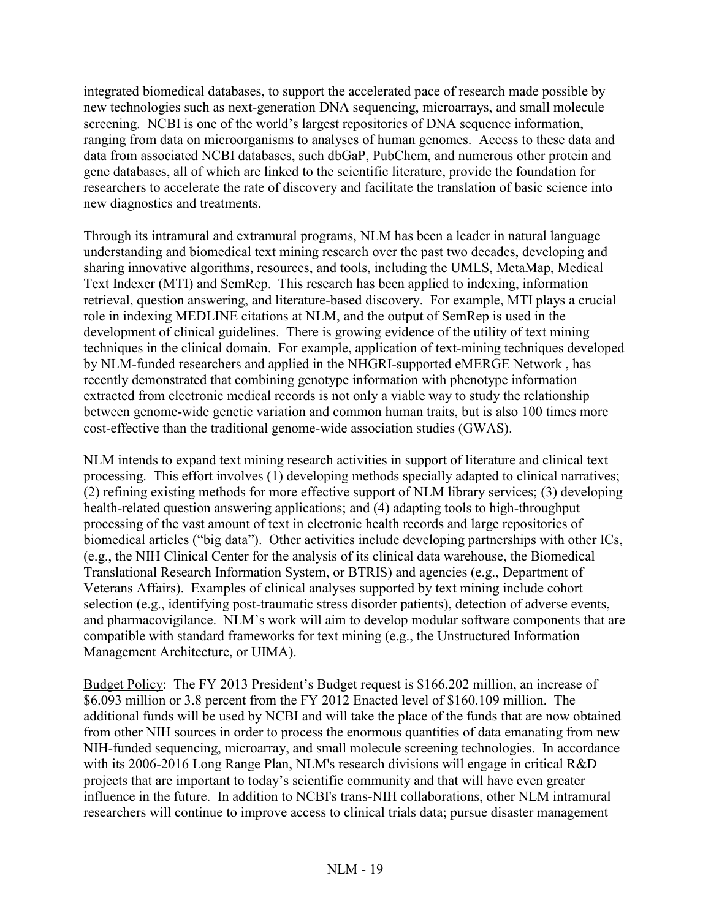integrated biomedical databases, to support the accelerated pace of research made possible by new technologies such as next-generation DNA sequencing, microarrays, and small molecule screening. NCBI is one of the world's largest repositories of DNA sequence information, ranging from data on microorganisms to analyses of human genomes. Access to these data and data from associated NCBI databases, such dbGaP, PubChem, and numerous other protein and gene databases, all of which are linked to the scientific literature, provide the foundation for researchers to accelerate the rate of discovery and facilitate the translation of basic science into new diagnostics and treatments.

Through its intramural and extramural programs, NLM has been a leader in natural language understanding and biomedical text mining research over the past two decades, developing and sharing innovative algorithms, resources, and tools, including the UMLS, MetaMap, Medical Text Indexer (MTI) and SemRep. This research has been applied to indexing, information retrieval, question answering, and literature-based discovery. For example, MTI plays a crucial role in indexing MEDLINE citations at NLM, and the output of SemRep is used in the development of clinical guidelines. There is growing evidence of the utility of text mining techniques in the clinical domain. For example, application of text-mining techniques developed by NLM-funded researchers and applied in the NHGRI-supported eMERGE Network , has recently demonstrated that combining genotype information with phenotype information extracted from electronic medical records is not only a viable way to study the relationship between genome-wide genetic variation and common human traits, but is also 100 times more cost-effective than the traditional genome-wide association studies (GWAS).

NLM intends to expand text mining research activities in support of literature and clinical text processing. This effort involves (1) developing methods specially adapted to clinical narratives; (2) refining existing methods for more effective support of NLM library services; (3) developing health-related question answering applications; and (4) adapting tools to high-throughput processing of the vast amount of text in electronic health records and large repositories of biomedical articles ("big data"). Other activities include developing partnerships with other ICs, (e.g., the NIH Clinical Center for the analysis of its clinical data warehouse, the Biomedical Translational Research Information System, or BTRIS) and agencies (e.g., Department of Veterans Affairs). Examples of clinical analyses supported by text mining include cohort selection (e.g., identifying post-traumatic stress disorder patients), detection of adverse events, and pharmacovigilance. NLM's work will aim to develop modular software components that are compatible with standard frameworks for text mining (e.g., the Unstructured Information Management Architecture, or UIMA).

Budget Policy: The FY 2013 President's Budget request is \$166.202 million, an increase of \$6.093 million or 3.8 percent from the FY 2012 Enacted level of \$160.109 million. The additional funds will be used by NCBI and will take the place of the funds that are now obtained from other NIH sources in order to process the enormous quantities of data emanating from new NIH-funded sequencing, microarray, and small molecule screening technologies. In accordance with its 2006-2016 Long Range Plan, NLM's research divisions will engage in critical R&D projects that are important to today's scientific community and that will have even greater influence in the future. In addition to NCBI's trans-NIH collaborations, other NLM intramural researchers will continue to improve access to clinical trials data; pursue disaster management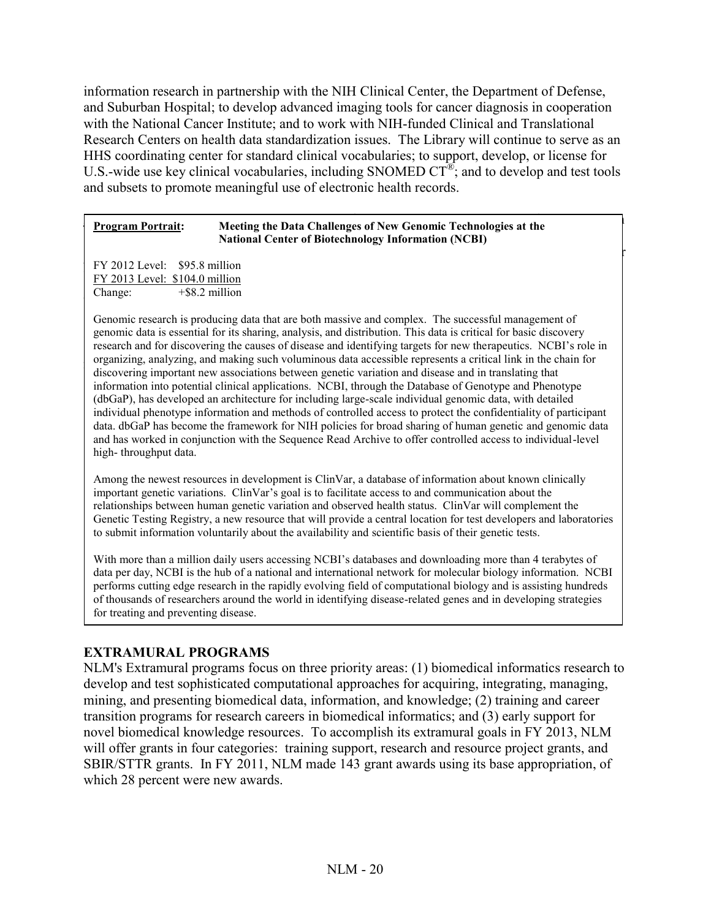information research in partnership with the NIH Clinical Center, the Department of Defense, and Suburban Hospital; to develop advanced imaging tools for cancer diagnosis in cooperation with the National Cancer Institute; and to work with NIH-funded Clinical and Translational Research Centers on health data standardization issues. The Library will continue to serve as an HHS coordinating center for standard clinical vocabularies; to support, develop, or license for U.S.-wide use key clinical vocabularies, including SNOMED  $CT^{\mathfrak{B}}$ ; and to develop and test tools and subsets to promote meaningful use of electronic health records.

#### **Program Portrait:** Meeting the Data Challenges of New Genomic Technologies at the **Example of the FIFE 2010** continuity of the additional Center of Biotechnology Information (NCBI) funds will be used by NCBI and replaces that must be obtained from other that must be obtained from other from other that must be obtained from other that must be obtained from other that must be obtained from other that

 $N$  FY 2012 Level: \$95.8 million  $\frac{FY \cdot 2013 \text{ Level: } \$104.0 \text{ million}}{S1000 \text{ million}}$  $\text{Change.}$   $\text{PQ}(\text{2})$  minion Change: +\$8.2 million

Genomic research is producing data that are both massive and complex. The successful management of genomic data is essential for its sharing, analysis, and distribution. This data is critical for basic discovery research and for discovering the causes of disease and identifying targets for new therapeutics. NCBI's role in organizing, analyzing, and making such voluminous data accessible represents a critical link in the chain for discovering important new associations between genetic variation and disease and in translating that information into potential clinical applications. NCBI, through the Database of Genotype and Phenotype (dbGaP), has developed an architecture for including large-scale individual genomic data, with detailed individual phenotype information and methods of controlled access to protect the confidentiality of participant data. dbGaP has become the framework for NIH policies for broad sharing of human genetic and genomic data and has worked in conjunction with the Sequence Read Archive to offer controlled access to individual-level high- throughput data.

Among the newest resources in development is ClinVar, a database of information about known clinically important genetic variations. ClinVar's goal is to facilitate access to and communication about the relationships between human genetic variation and observed health status. ClinVar will complement the Genetic Testing Registry, a new resource that will provide a central location for test developers and laboratories to submit information voluntarily about the availability and scientific basis of their genetic tests.

With more than a million daily users accessing NCBI's databases and downloading more than 4 terabytes of data per day, NCBI is the hub of a national and international network for molecular biology information. NCBI performs cutting edge research in the rapidly evolving field of computational biology and is assisting hundreds of thousands of researchers around the world in identifying disease-related genes and in developing strategies for treating and preventing disease.

# **EXTRAMURAL PROGRAMS**

NLM's Extramural programs focus on three priority areas: (1) biomedical informatics research to develop and test sophisticated computational approaches for acquiring, integrating, managing, mining, and presenting biomedical data, information, and knowledge; (2) training and career transition programs for research careers in biomedical informatics; and (3) early support for novel biomedical knowledge resources. To accomplish its extramural goals in FY 2013, NLM will offer grants in four categories: training support, research and resource project grants, and SBIR/STTR grants. In FY 2011, NLM made 143 grant awards using its base appropriation, of which 28 percent were new awards.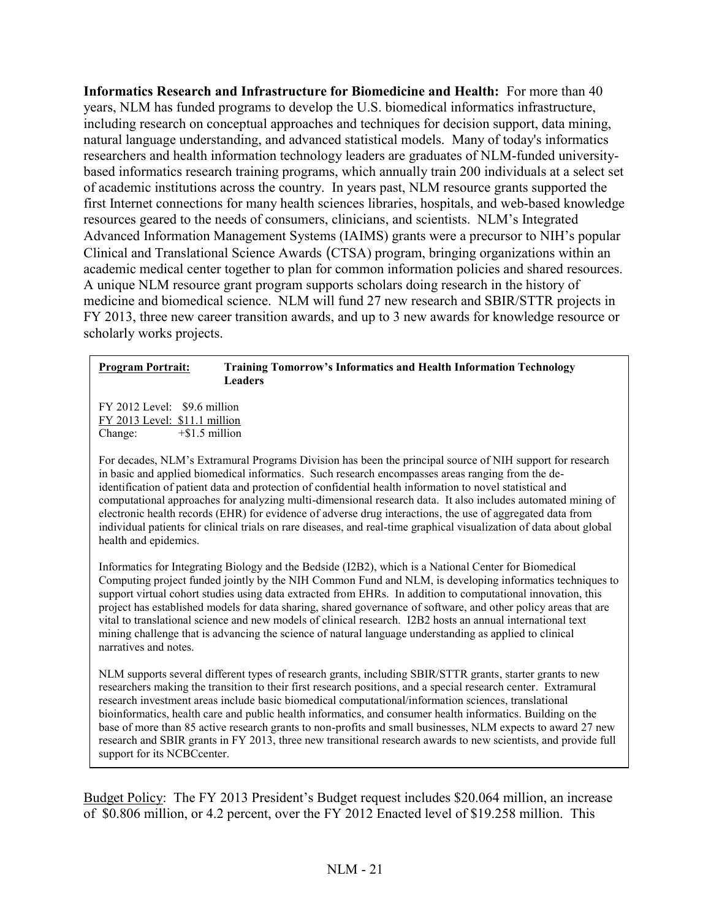**Informatics Research and Infrastructure for Biomedicine and Health:** For more than 40 years, NLM has funded programs to develop the U.S. biomedical informatics infrastructure, including research on conceptual approaches and techniques for decision support, data mining, natural language understanding, and advanced statistical models. Many of today's informatics researchers and health information technology leaders are graduates of NLM-funded universitybased informatics research training programs, which annually train 200 individuals at a select set of academic institutions across the country. In years past, NLM resource grants supported the first Internet connections for many health sciences libraries, hospitals, and web-based knowledge resources geared to the needs of consumers, clinicians, and scientists. NLM's Integrated Advanced Information Management Systems (IAIMS) grants were a precursor to NIH's popular Clinical and Translational Science Awards (CTSA) program, bringing organizations within an academic medical center together to plan for common information policies and shared resources. A unique NLM resource grant program supports scholars doing research in the history of medicine and biomedical science. NLM will fund 27 new research and SBIR/STTR projects in FY 2013, three new career transition awards, and up to 3 new awards for knowledge resource or scholarly works projects.

#### **Program Portrait: Training Tomorrow's Informatics and Health Information Technology Leaders**

FY 2012 Level: \$9.6 million FY 2013 Level: \$11.1 million Change: +\$1.5 million

For decades, NLM's Extramural Programs Division has been the principal source of NIH support for research in basic and applied biomedical informatics. Such research encompasses areas ranging from the deidentification of patient data and protection of confidential health information to novel statistical and computational approaches for analyzing multi-dimensional research data. It also includes automated mining of electronic health records (EHR) for evidence of adverse drug interactions, the use of aggregated data from individual patients for clinical trials on rare diseases, and real-time graphical visualization of data about global health and epidemics.

Informatics for Integrating Biology and the Bedside (I2B2), which is a National Center for Biomedical Computing project funded jointly by the NIH Common Fund and NLM, is developing informatics techniques to support virtual cohort studies using data extracted from EHRs. In addition to computational innovation, this project has established models for data sharing, shared governance of software, and other policy areas that are vital to translational science and new models of clinical research. I2B2 hosts an annual international text mining challenge that is advancing the science of natural language understanding as applied to clinical narratives and notes.

NLM supports several different types of research grants, including SBIR/STTR grants, starter grants to new researchers making the transition to their first research positions, and a special research center. Extramural research investment areas include basic biomedical computational/information sciences, translational bioinformatics, health care and public health informatics, and consumer health informatics. Building on the base of more than 85 active research grants to non-profits and small businesses, NLM expects to award 27 new research and SBIR grants in FY 2013, three new transitional research awards to new scientists, and provide full support for its NCBCcenter.

Budget Policy: The FY 2013 President's Budget request includes \$20.064 million, an increase of \$0.806 million, or 4.2 percent, over the FY 2012 Enacted level of \$19.258 million. This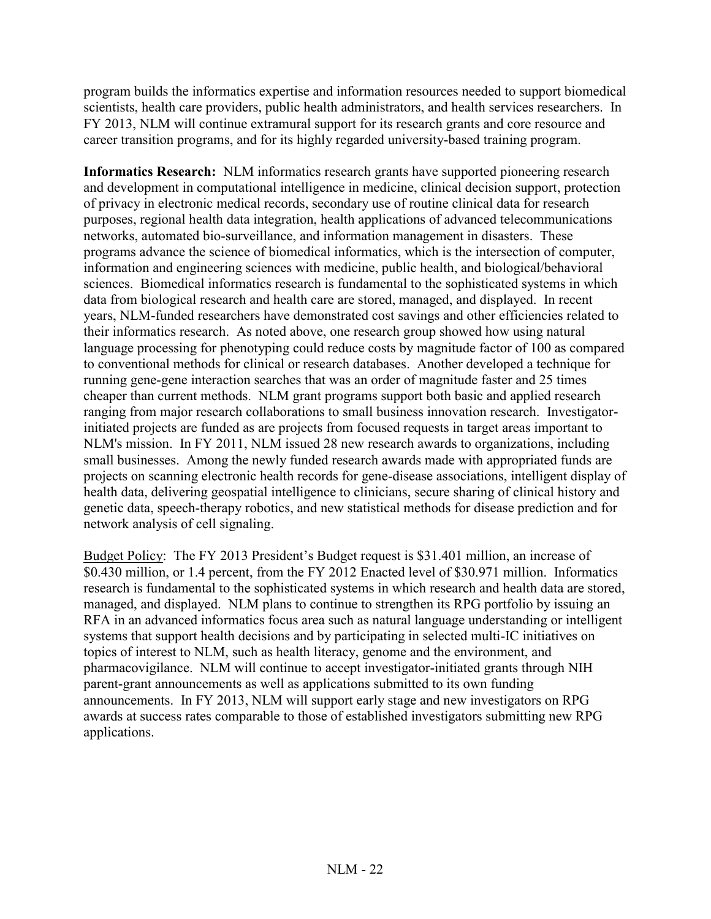program builds the informatics expertise and information resources needed to support biomedical scientists, health care providers, public health administrators, and health services researchers. In FY 2013, NLM will continue extramural support for its research grants and core resource and career transition programs, and for its highly regarded university-based training program.

**Informatics Research:** NLM informatics research grants have supported pioneering research and development in computational intelligence in medicine, clinical decision support, protection of privacy in electronic medical records, secondary use of routine clinical data for research purposes, regional health data integration, health applications of advanced telecommunications networks, automated bio-surveillance, and information management in disasters. These programs advance the science of biomedical informatics, which is the intersection of computer, information and engineering sciences with medicine, public health, and biological/behavioral sciences. Biomedical informatics research is fundamental to the sophisticated systems in which data from biological research and health care are stored, managed, and displayed. In recent years, NLM-funded researchers have demonstrated cost savings and other efficiencies related to their informatics research. As noted above, one research group showed how using natural language processing for phenotyping could reduce costs by magnitude factor of 100 as compared to conventional methods for clinical or research databases. Another developed a technique for running gene-gene interaction searches that was an order of magnitude faster and 25 times cheaper than current methods. NLM grant programs support both basic and applied research ranging from major research collaborations to small business innovation research. Investigatorinitiated projects are funded as are projects from focused requests in target areas important to NLM's mission. In FY 2011, NLM issued 28 new research awards to organizations, including small businesses. Among the newly funded research awards made with appropriated funds are projects on scanning electronic health records for gene-disease associations, intelligent display of health data, delivering geospatial intelligence to clinicians, secure sharing of clinical history and genetic data, speech-therapy robotics, and new statistical methods for disease prediction and for network analysis of cell signaling.

Budget Policy: The FY 2013 President's Budget request is \$31.401 million, an increase of \$0.430 million, or 1.4 percent, from the FY 2012 Enacted level of \$30.971 million. Informatics research is fundamental to the sophisticated systems in which research and health data are stored, managed, and displayed. NLM plans to continue to strengthen its RPG portfolio by issuing an RFA in an advanced informatics focus area such as natural language understanding or intelligent systems that support health decisions and by participating in selected multi-IC initiatives on topics of interest to NLM, such as health literacy, genome and the environment, and pharmacovigilance. NLM will continue to accept investigator-initiated grants through NIH parent-grant announcements as well as applications submitted to its own funding announcements. In FY 2013, NLM will support early stage and new investigators on RPG awards at success rates comparable to those of established investigators submitting new RPG applications.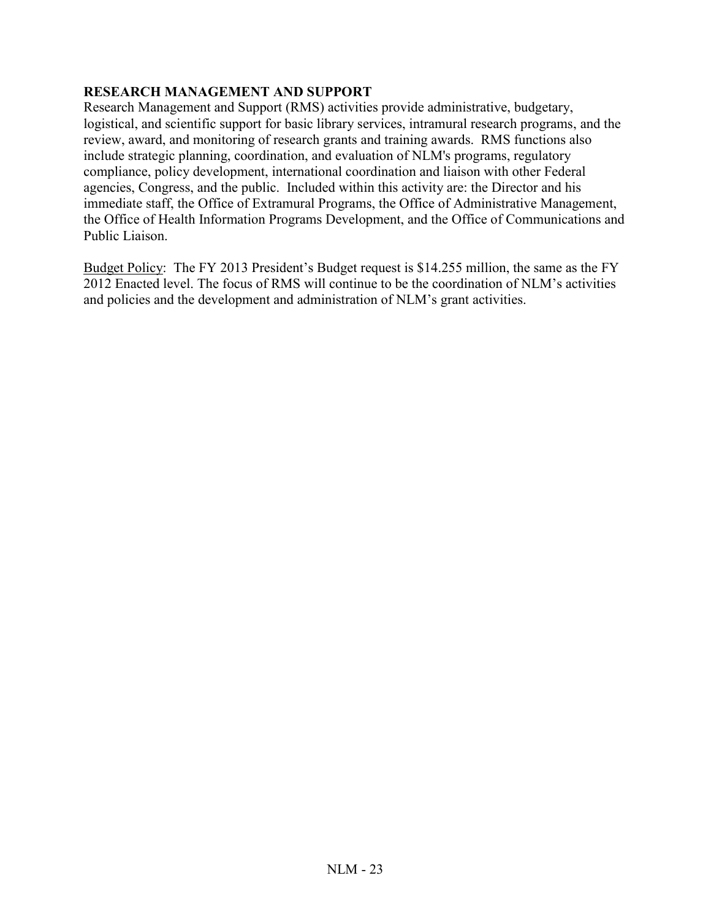# **RESEARCH MANAGEMENT AND SUPPORT**

Research Management and Support (RMS) activities provide administrative, budgetary, logistical, and scientific support for basic library services, intramural research programs, and the review, award, and monitoring of research grants and training awards. RMS functions also include strategic planning, coordination, and evaluation of NLM's programs, regulatory compliance, policy development, international coordination and liaison with other Federal agencies, Congress, and the public. Included within this activity are: the Director and his immediate staff, the Office of Extramural Programs, the Office of Administrative Management, the Office of Health Information Programs Development, and the Office of Communications and Public Liaison.

Budget Policy: The FY 2013 President's Budget request is \$14.255 million, the same as the FY 2012 Enacted level. The focus of RMS will continue to be the coordination of NLM's activities and policies and the development and administration of NLM's grant activities.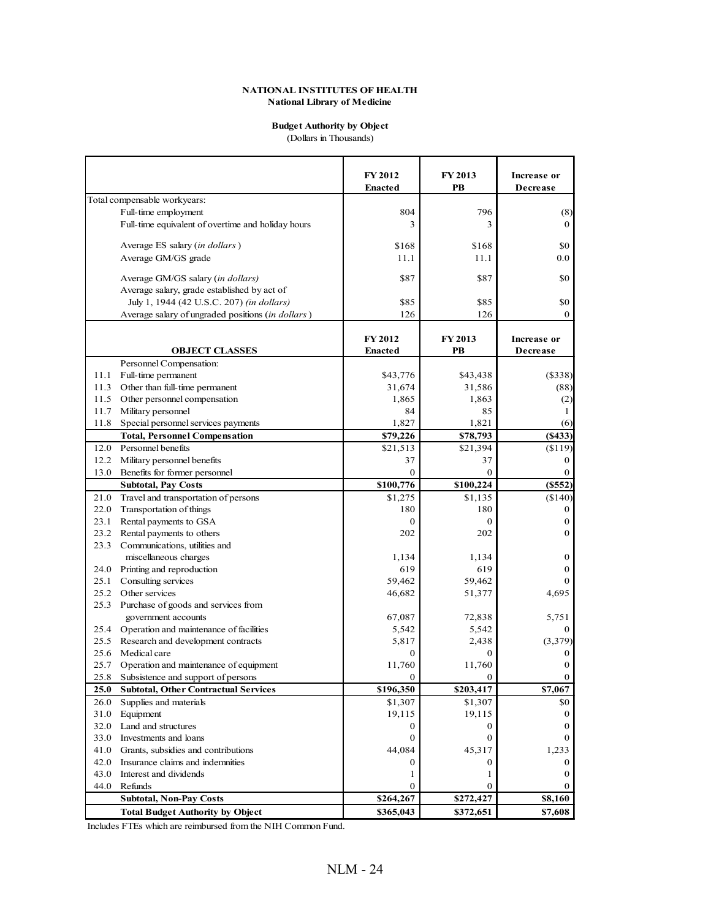#### **Budget Authority by Object** (Dollars in Thousands)

**FY 2012 FY 2013 Increase or Enacted PB Decrease** Total compensable workyears: Full-time employment (8) 804 796 (8) Full-time equivalent of overtime and holiday hours 3 3 0 Average ES salary (*in dollars*) \$168 \$168 \$168 \$168 \$0 Average GM/GS grade  $11.1$   $11.1$   $0.0$ Average GM/GS salary (*in dollars*)  $\begin{array}{c}887 \\ \end{array}$  \$87 \$87 Average salary, grade established by act of July 1, 1944 (42 U.S.C. 207) *(in dollars)* \$85 \$85 \$95 \$85 \$0 Average salary of ungraded positions (*in dollars*) 126 126 126 126 **FY 2012 FY 2013 Increase or OBJECT CLASSES Enacted PB Decrease** Personnel Compensation: 11.1 Full-time permanent (\$43,776 \$43,438 (\$338) 11.3 Other than full-time permanent (88) 31,674 31,586 (88) 11.5 Other personnel compensation 1,865 1,863 1,863 (2) 11.7 Military personnel 11.7 Military personnel 11.7 Military personnel 1 11.8 Special personnel services payments 1,827 1,821 1,821 (6) **Total, Personnel Compensation \$79,226 \$78,793 (\$433)** 12.0 Personnel benefits \$21,513 \$21,394 (\$119) 12.2 Military personnel benefits 37 37 37 0 13.0 Benefits for former personnel 0 0 0 **Subtotal, Pay Costs \$100,776 \$100,224 (\$552)** 21.0 Travel and transportation of persons  $$1,275$   $$1,135$  (\$140) 22.0 Transportation of things 180 180 0 23.1 Rental payments to GSA 0 0 0 23.2 Rental payments to others 202 202 202 0 23.3 Communications, utilities and miscellaneous charges  $1,134$   $1,134$   $0$ 24.0 Printing and reproduction 619 619 619 619 619 619 25.1 Consulting services 25.1 Consulting services 25.1 Consulting services 25.1 Consulting services 25.462 0 25.2 Other services 46,682 51,377 4,695 25.3 Purchase of goods and services from government accounts 67,087 72,838 5,751 25.4 Operation and maintenance of facilities  $5,542$  5,542 5,542 25.5 Research and development contracts 5,817 2,438 (3,379) 25.6 Medical care 0 0 0 25.7 Operation and maintenance of equipment  $11,760$   $11,760$  0 25.8 Subsistence and support of persons 0 0 0 **25.0 Subtotal, Other Contractual Services \$196,350 \$203,417 \$7,067** 26.0 Supplies and materials \$1,307 \$1,307 \$0 31.0 Equipment 0 0 0 19,115 19,115 19,115 0 32.0 Land and structures 0 0 0 33.0 Investments and loans  $\begin{bmatrix} 0 & 0 \\ 0 & 0 \end{bmatrix}$   $\begin{bmatrix} 0 & 0 \\ 0 & 0 \end{bmatrix}$   $\begin{bmatrix} 0 & 0 \\ 0 & 0 \end{bmatrix}$ 41.0 Grants, subsidies and contributions  $44,084$   $45,317$   $1,233$ 42.0 Insurance claims and indemnities 0 0 0 43.0 Interest and dividends 0 1 1 0 0 1 0 0 1 0 0 1 0 0 1 0 0 1 0 0 0 1 0 0 1 0 0 0 1 0 0 0 1 0 0 1 0 1 0 0 1 0 1 0 0 1 0 1 0 1 0 1 0 1 0 1 0 1 0 1 0 1 0 1 0 1 0 1 0 1 0 1 0 1 0 1 0 1 0 1 0 1 0 1 0 1 0 1 0 1 0 1 0 1 0 1 0 44.0 Refunds 0 0 0 **Subtotal, Non-Pay Costs \$264,267 \$272,427 Total Budget Authority by Object \$365,043 \$372,651 \$7,608** Includes FTEs which are reimbursed from the NIH Common Fund.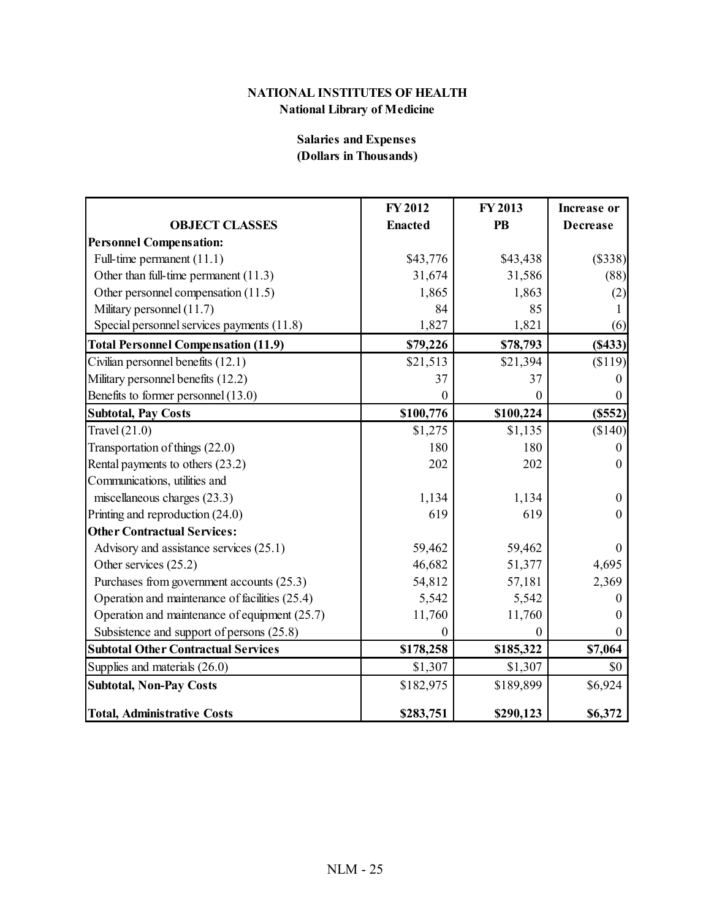# **Salaries and Expenses (Dollars in Thousands)**

|                                                | FY 2012        | FY 2013          | <b>Increase or</b> |
|------------------------------------------------|----------------|------------------|--------------------|
| <b>OBJECT CLASSES</b>                          | <b>Enacted</b> | <b>PB</b>        | <b>Decrease</b>    |
| <b>Personnel Compensation:</b>                 |                |                  |                    |
| Full-time permanent (11.1)                     | \$43,776       | \$43,438         | (\$338)            |
| Other than full-time permanent (11.3)          | 31,674         | 31,586           | (88)               |
| Other personnel compensation (11.5)            | 1,865          | 1,863            | (2)                |
| Military personnel (11.7)                      | 84             | 85               |                    |
| Special personnel services payments (11.8)     | 1,827          | 1,821            | (6)                |
| <b>Total Personnel Compensation (11.9)</b>     | \$79,226       | \$78,793         | (S433)             |
| Civilian personnel benefits (12.1)             | \$21,513       | \$21,394         | \$119              |
| Military personnel benefits (12.2)             | 37             | 37               | $\theta$           |
| Benefits to former personnel (13.0)            | $\theta$       | 0                |                    |
| <b>Subtotal, Pay Costs</b>                     | \$100,776      | \$100,224        | (S552)             |
| Travel $(21.0)$                                | \$1,275        | \$1,135          | (\$140)            |
| Transportation of things (22.0)                | 180            | 180              | $\theta$           |
| Rental payments to others (23.2)               | 202            | 202              | $\theta$           |
| Communications, utilities and                  |                |                  |                    |
| miscellaneous charges (23.3)                   | 1,134          | 1,134            | $\mathbf{0}$       |
| Printing and reproduction (24.0)               | 619            | 619              | $\Omega$           |
| <b>Other Contractual Services:</b>             |                |                  |                    |
| Advisory and assistance services (25.1)        | 59,462         | 59,462           | $\theta$           |
| Other services (25.2)                          | 46,682         | 51,377           | 4,695              |
| Purchases from government accounts (25.3)      | 54,812         | 57,181           | 2,369              |
| Operation and maintenance of facilities (25.4) | 5,542          | 5,542            |                    |
| Operation and maintenance of equipment (25.7)  | 11,760         | 11,760           |                    |
| Subsistence and support of persons (25.8)      | $\theta$       | $\boldsymbol{0}$ |                    |
| <b>Subtotal Other Contractual Services</b>     | \$178,258      | \$185,322        | \$7,064            |
| Supplies and materials (26.0)                  | \$1,307        | \$1,307          | \$0                |
| <b>Subtotal, Non-Pay Costs</b>                 | \$182,975      | \$189,899        | \$6,924            |
| <b>Total, Administrative Costs</b>             | \$283,751      | \$290,123        | \$6,372            |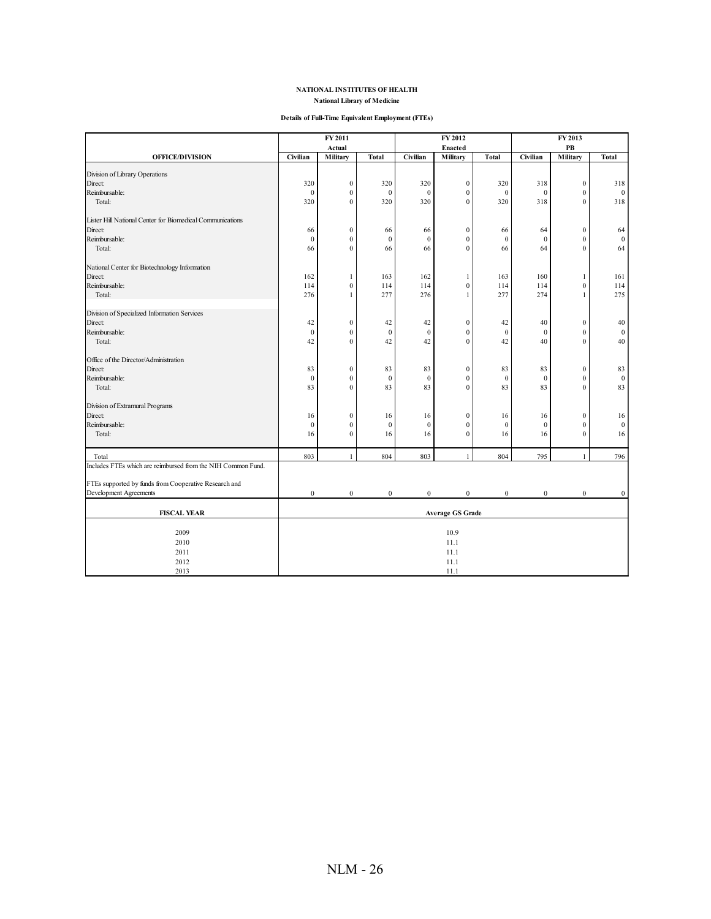#### **Details of Full-Time Equivalent Employment (FTEs)**

|                                                              |                         | FY 2012<br>FY 2011 |                  | FY 2013          |                  |                  |                  |                  |                  |
|--------------------------------------------------------------|-------------------------|--------------------|------------------|------------------|------------------|------------------|------------------|------------------|------------------|
|                                                              |                         | Actual             |                  |                  | Enacted          |                  |                  | PB               |                  |
| <b>OFFICE/DIVISION</b>                                       | Civilian                | Military           | <b>Total</b>     | Civilian         | Military         | <b>Total</b>     | Civilian         | Military         | <b>Total</b>     |
| Division of Library Operations                               |                         |                    |                  |                  |                  |                  |                  |                  |                  |
| Direct:                                                      | 320                     | $\boldsymbol{0}$   | 320              | 320              | $\mathbf{0}$     | 320              | 318              | $\boldsymbol{0}$ | 318              |
| Reimbursable:                                                | $\mathbf{0}$            | $\boldsymbol{0}$   | $\theta$         | $\theta$         | $\mathbf{0}$     | $\mathbf{0}$     | $\mathbf 0$      | $\mathbf{0}$     | $\mathbf{0}$     |
| Total:                                                       | 320                     | $\boldsymbol{0}$   | 320              | 320              | $\mathbf{0}$     | 320              | 318              | $\boldsymbol{0}$ | 318              |
| Lister Hill National Center for Biomedical Communications    |                         |                    |                  |                  |                  |                  |                  |                  |                  |
| Direct:                                                      | 66                      | $\boldsymbol{0}$   | 66               | 66               | $\boldsymbol{0}$ | 66               | 64               | $\boldsymbol{0}$ | 64               |
| Reimbursable:                                                | $\boldsymbol{0}$        | $\boldsymbol{0}$   | $\boldsymbol{0}$ | $\mathbf{0}$     | $\mathbf{0}$     | $\mathbf{0}$     | $\overline{0}$   | $\mathbf{0}$     | $\mathbf{0}$     |
| Total:                                                       | 66                      | $\boldsymbol{0}$   | 66               | 66               | $\mathbf{0}$     | 66               | 64               | $\mathbf{0}$     | 64               |
| National Center for Biotechnology Information                |                         |                    |                  |                  |                  |                  |                  |                  |                  |
| Direct:                                                      | 162                     | 1                  | 163              | 162              | 1                | 163              | 160              | 1                | 161              |
| Reimbursable:                                                | 114                     | $\boldsymbol{0}$   | 114              | 114              | $\boldsymbol{0}$ | 114              | 114              | $\boldsymbol{0}$ | 114              |
| Total:                                                       | 276                     | 1                  | 277              | 276              | 1                | 277              | 274              | 1                | 275              |
| Division of Specialized Information Services                 |                         |                    |                  |                  |                  |                  |                  |                  |                  |
| Direct:                                                      | 42                      | $\boldsymbol{0}$   | 42               | 42               | $\boldsymbol{0}$ | 42               | 40               | $\boldsymbol{0}$ | 40               |
| Reimbursable:                                                | $\mathbf{0}$            | $\mathbf{0}$       | $\mathbf{0}$     | $\mathbf{0}$     | $\mathbf{0}$     | $\mathbf{0}$     | $\mathbf{0}$     | $\mathbf{0}$     | $\bf{0}$         |
| Total:                                                       | 42                      | $\boldsymbol{0}$   | 42               | 42               | $\mathbf{0}$     | 42               | 40               | $\mathbf{0}$     | 40               |
| Office of the Director/Administration                        |                         |                    |                  |                  |                  |                  |                  |                  |                  |
| Direct:                                                      | 83                      | $\boldsymbol{0}$   | 83               | 83               | $\boldsymbol{0}$ | 83               | 83               | $\boldsymbol{0}$ | 83               |
| Reimbursable:                                                | $\mathbf{0}$            | $\boldsymbol{0}$   | $\boldsymbol{0}$ | $\mathbf{0}$     | $\boldsymbol{0}$ | $\boldsymbol{0}$ | $\mathbf{0}$     | $\boldsymbol{0}$ | $\boldsymbol{0}$ |
| Total:                                                       | 83                      | $\mathbf{0}$       | 83               | 83               | $\theta$         | 83               | 83               | $\theta$         | 83               |
| Division of Extramural Programs                              |                         |                    |                  |                  |                  |                  |                  |                  |                  |
| Direct:                                                      | 16                      | $\boldsymbol{0}$   | 16               | 16               | $\boldsymbol{0}$ | 16               | 16               | $\boldsymbol{0}$ | 16               |
| Reimbursable:                                                | $\mathbf{0}$            | $\boldsymbol{0}$   | $\mathbf{0}$     | $\mathbf{0}$     | $\boldsymbol{0}$ | $\mathbf{0}$     | $\mathbf{0}$     | $\mathbf{0}$     | $\boldsymbol{0}$ |
| Total:                                                       | 16                      | $\boldsymbol{0}$   | 16               | 16               | $\mathbf{0}$     | 16               | 16               | $\mathbf{0}$     | 16               |
| Total                                                        | 803                     |                    | 804              | 803              |                  | 804              | 795              |                  | 796              |
| Includes FTEs which are reimbursed from the NIH Common Fund. |                         |                    |                  |                  |                  |                  |                  |                  |                  |
| FTEs supported by funds from Cooperative Research and        |                         |                    |                  |                  |                  |                  |                  |                  |                  |
| Development Agreements                                       | $\bf{0}$                | $\boldsymbol{0}$   | $\boldsymbol{0}$ | $\boldsymbol{0}$ | $\boldsymbol{0}$ | $\boldsymbol{0}$ | $\boldsymbol{0}$ | $\boldsymbol{0}$ | $\mathbf{0}$     |
|                                                              |                         |                    |                  |                  |                  |                  |                  |                  |                  |
| <b>FISCAL YEAR</b>                                           | <b>Average GS Grade</b> |                    |                  |                  |                  |                  |                  |                  |                  |
| 2009                                                         |                         |                    |                  |                  | 10.9             |                  |                  |                  |                  |
| 2010                                                         |                         |                    |                  |                  | 11.1             |                  |                  |                  |                  |
| 2011                                                         | 11.1                    |                    |                  |                  |                  |                  |                  |                  |                  |
| 2012                                                         |                         |                    |                  |                  | 11.1             |                  |                  |                  |                  |
| 2013                                                         | 11.1                    |                    |                  |                  |                  |                  |                  |                  |                  |